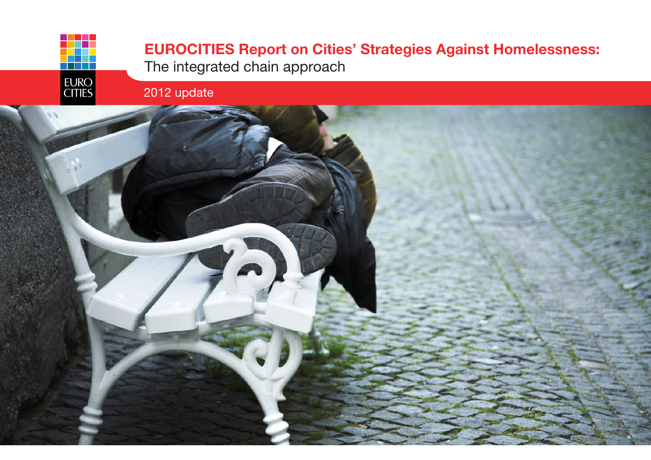# EUROCITIES Report on Cities' Strategies Against Homelessness: The integrated chain approach

2012 update

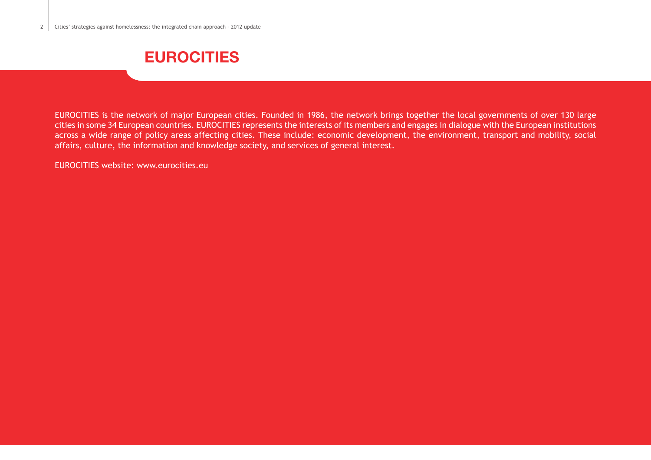# EUROCITIES

EUROCITIES is the network of major European cities. Founded in 1986, the network brings together the local governments of over 130 large cities in some 34 European countries. EUROCITIES represents the interests of its members and engages in dialogue with the European institutions across a wide range of policy areas affecting cities. These include: economic development, the environment, transport and mobility, social affairs, culture, the information and knowledge society, and services of general interest.

EUROCITIES website: www.eurocities.eu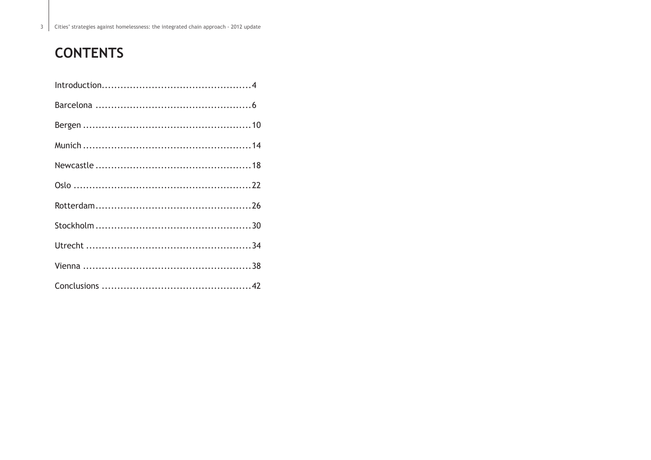# **CONTENTS**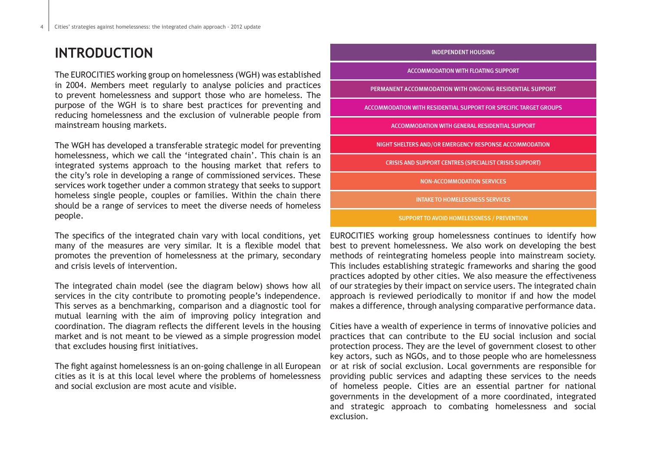# **INTRODUCTION**

The EUROCITIES working group on homelessness (WGH) was established in 2004. Members meet regularly to analyse policies and practices to prevent homelessness and support those who are homeless. The purpose of the WGH is to share best practices for preventing and reducing homelessness and the exclusion of vulnerable people from mainstream housing markets.

The WGH has developed a transferable strategic model for preventing homelessness, which we call the 'integrated chain'. This chain is an integrated systems approach to the housing market that refers to the city's role in developing a range of commissioned services. These services work together under a common strategy that seeks to support homeless single people, couples or families. Within the chain there should be a range of services to meet the diverse needs of homeless people.

The specifics of the integrated chain vary with local conditions, yet many of the measures are very similar. It is a flexible model that promotes the prevention of homelessness at the primary, secondary and crisis levels of intervention.

The integrated chain model (see the diagram below) shows how all services in the city contribute to promoting people's independence. This serves as a benchmarking, comparison and a diagnostic tool for mutual learning with the aim of improving policy integration and coordination. The diagram reflects the different levels in the housing market and is not meant to be viewed as a simple progression model that excludes housing first initiatives.

The fight against homelessness is an on-going challenge in all European cities as it is at this local level where the problems of homelessness and social exclusion are most acute and visible.

# NIGHT SHELTERS AND/OR EMERGENCY RESPONSE ACCOMMODATION ACCOMMODATION WITH FLOATING SUPPORT ACCOMMODATION WITH RESIDENTIAL SUPPORT FOR SPECIFIC TARGET GROUPS ACCOMMODATION WITH GENERAL RESIDENTIAL SUPPORT CRISIS AND SUPPORT CENTRES (SPECIALIST CRISIS SUPPORT) NON-ACCOMMODATION SERVICES INTAKE TO HOMELESSNESS SERVICES SUPPORT TO AVOID HOMELESSNESS / PREVENTION INDEPENDENT HOUSING PERMANENT ACCOMMODATION WITH ONGOING RESIDENTIAL SUPPORT

EUROCITIES working group homelessness continues to identify how best to prevent homelessness. We also work on developing the best methods of reintegrating homeless people into mainstream society. This includes establishing strategic frameworks and sharing the good practices adopted by other cities. We also measure the effectiveness of our strategies by their impact on service users. The integrated chain approach is reviewed periodically to monitor if and how the model makes a difference, through analysing comparative performance data.

Cities have a wealth of experience in terms of innovative policies and practices that can contribute to the EU social inclusion and social protection process. They are the level of government closest to other key actors, such as NGOs, and to those people who are homelessness or at risk of social exclusion. Local governments are responsible for providing public services and adapting these services to the needs of homeless people. Cities are an essential partner for national governments in the development of a more coordinated, integrated and strategic approach to combating homelessness and social exclusion.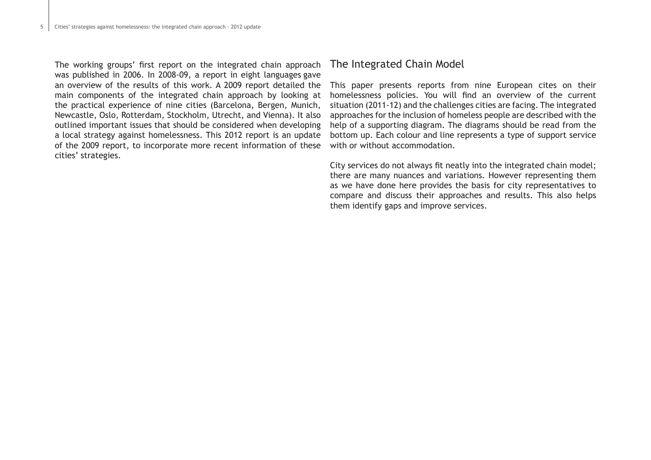The working groups' first report on the integrated chain approach was published in 2006. In 2008-09, a report in eight languages gave an overview of the results of this work. A 2009 report detailed the main components of the integrated chain approach by looking at the practical experience of nine cities (Barcelona, Bergen, Munich, Newcastle, Oslo, Rotterdam, Stockholm, Utrecht, and Vienna). It also outlined important issues that should be considered when developing a local strategy against homelessness. This 2012 report is an update of the 2009 report, to incorporate more recent information of these cities' strategies.

## The Integrated Chain Model

This paper presents reports from nine European cites on their homelessness policies. You will find an overview of the current situation (2011-12) and the challenges cities are facing. The integrated approaches for the inclusion of homeless people are described with the help of a supporting diagram. The diagrams should be read from the bottom up. Each colour and line represents a type of support service with or without accommodation.

City services do not always fit neatly into the integrated chain model; there are many nuances and variations. However representing them as we have done here provides the basis for city representatives to compare and discuss their approaches and results. This also helps them identify gaps and improve services.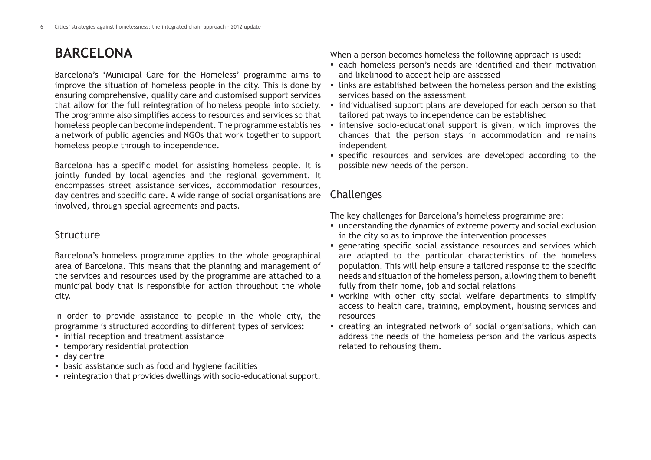# **BARCELONA**

Barcelona's 'Municipal Care for the Homeless' programme aims to improve the situation of homeless people in the city. This is done by ensuring comprehensive, quality care and customised support services that allow for the full reintegration of homeless people into society. The programme also simplifies access to resources and services so that homeless people can become independent. The programme establishes a network of public agencies and NGOs that work together to support homeless people through to independence.

Barcelona has a specific model for assisting homeless people. It is jointly funded by local agencies and the regional government. It encompasses street assistance services, accommodation resources, day centres and specific care. A wide range of social organisations are involved, through special agreements and pacts.

# Structure

Barcelona's homeless programme applies to the whole geographical area of Barcelona. This means that the planning and management of the services and resources used by the programme are attached to a municipal body that is responsible for action throughout the whole city.

In order to provide assistance to people in the whole city, the programme is structured according to different types of services:

- initial reception and treatment assistance
- **EXECUTE:** temporary residential protection
- day centre
- basic assistance such as food and hygiene facilities
- reintegration that provides dwellings with socio-educational support.

When a person becomes homeless the following approach is used:

- each homeless person's needs are identified and their motivation and likelihood to accept help are assessed
- links are established between the homeless person and the existing services based on the assessment
- individualised support plans are developed for each person so that tailored pathways to independence can be established
- intensive socio-educational support is given, which improves the chances that the person stays in accommodation and remains independent
- specific resources and services are developed according to the possible new needs of the person.

# Challenges

The key challenges for Barcelona's homeless programme are:

- understanding the dynamics of extreme poverty and social exclusion in the city so as to improve the intervention processes
- **Exercise specific social assistance resources and services which** are adapted to the particular characteristics of the homeless population. This will help ensure a tailored response to the specific needs and situation of the homeless person, allowing them to benefit fully from their home, job and social relations
- working with other city social welfare departments to simplify access to health care, training, employment, housing services and resources
- creating an integrated network of social organisations, which can address the needs of the homeless person and the various aspects related to rehousing them.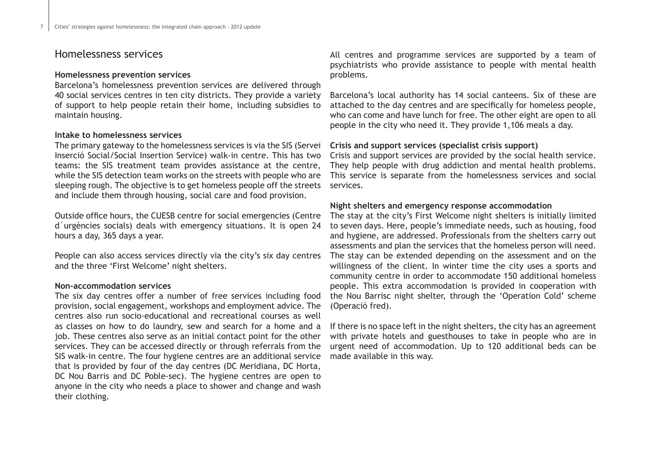### Homelessness services

#### **Homelessness prevention services**

Barcelona's homelessness prevention services are delivered through 40 social services centres in ten city districts. They provide a variety of support to help people retain their home, including subsidies to maintain housing.

#### **Intake to homelessness services**

The primary gateway to the homelessness services is via the SIS (Servei Inserció Social/Social Insertion Service) walk-in centre. This has two teams: the SIS treatment team provides assistance at the centre, while the SIS detection team works on the streets with people who are sleeping rough. The objective is to get homeless people off the streets and include them through housing, social care and food provision.

Outside office hours, the CUESB centre for social emergencies (Centre d´urgències socials) deals with emergency situations. It is open 24 hours a day, 365 days a year.

People can also access services directly via the city's six day centres and the three 'First Welcome' night shelters.

#### **Non-accommodation services**

The six day centres offer a number of free services including food provision, social engagement, workshops and employment advice. The centres also run socio-educational and recreational courses as well as classes on how to do laundry, sew and search for a home and a job. These centres also serve as an initial contact point for the other services. They can be accessed directly or through referrals from the SIS walk-in centre. The four hygiene centres are an additional service that is provided by four of the day centres (DC Meridiana, DC Horta, DC Nou Barris and DC Poble-sec). The hygiene centres are open to anyone in the city who needs a place to shower and change and wash their clothing.

All centres and programme services are supported by a team of psychiatrists who provide assistance to people with mental health problems.

Barcelona's local authority has 14 social canteens. Six of these are attached to the day centres and are specifically for homeless people, who can come and have lunch for free. The other eight are open to all people in the city who need it. They provide 1,106 meals a day.

#### **Crisis and support services (specialist crisis support)**

Crisis and support services are provided by the social health service. They help people with drug addiction and mental health problems. This service is separate from the homelessness services and social services.

#### **Night shelters and emergency response accommodation**

The stay at the city's First Welcome night shelters is initially limited to seven days. Here, people's immediate needs, such as housing, food and hygiene, are addressed. Professionals from the shelters carry out assessments and plan the services that the homeless person will need. The stay can be extended depending on the assessment and on the willingness of the client. In winter time the city uses a sports and community centre in order to accommodate 150 additional homeless people. This extra accommodation is provided in cooperation with the Nou Barrisc night shelter, through the 'Operation Cold' scheme (Operació fred).

If there is no space left in the night shelters, the city has an agreement with private hotels and guesthouses to take in people who are in urgent need of accommodation. Up to 120 additional beds can be made available in this way.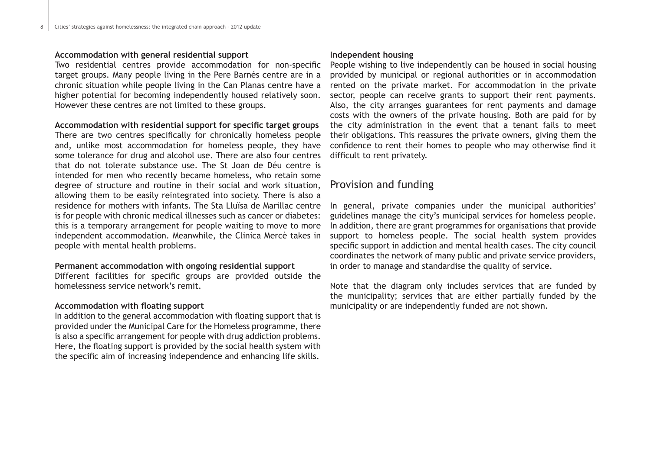#### **Accommodation with general residential support**

Two residential centres provide accommodation for non-specific target groups. Many people living in the Pere Barnés centre are in a chronic situation while people living in the Can Planas centre have a higher potential for becoming independently housed relatively soon. However these centres are not limited to these groups.

#### **Accommodation with residential support for specific target groups**

There are two centres specifically for chronically homeless people and, unlike most accommodation for homeless people, they have some tolerance for drug and alcohol use. There are also four centres that do not tolerate substance use. The St Joan de Déu centre is intended for men who recently became homeless, who retain some degree of structure and routine in their social and work situation, allowing them to be easily reintegrated into society. There is also a residence for mothers with infants. The Sta Lluïsa de Marillac centre is for people with chronic medical illnesses such as cancer or diabetes: this is a temporary arrangement for people waiting to move to more independent accommodation. Meanwhile, the Clinica Mercè takes in people with mental health problems.

#### **Permanent accommodation with ongoing residential support**

Different facilities for specific groups are provided outside the homelessness service network's remit.

#### **Accommodation with floating support**

In addition to the general accommodation with floating support that is provided under the Municipal Care for the Homeless programme, there is also a specific arrangement for people with drug addiction problems. Here, the floating support is provided by the social health system with the specific aim of increasing independence and enhancing life skills.

#### **Independent housing**

People wishing to live independently can be housed in social housing provided by municipal or regional authorities or in accommodation rented on the private market. For accommodation in the private sector, people can receive grants to support their rent payments. Also, the city arranges guarantees for rent payments and damage costs with the owners of the private housing. Both are paid for by the city administration in the event that a tenant fails to meet their obligations. This reassures the private owners, giving them the confidence to rent their homes to people who may otherwise find it difficult to rent privately.

## Provision and funding

In general, private companies under the municipal authorities' guidelines manage the city's municipal services for homeless people. In addition, there are grant programmes for organisations that provide support to homeless people. The social health system provides specific support in addiction and mental health cases. The city council coordinates the network of many public and private service providers, in order to manage and standardise the quality of service.

Note that the diagram only includes services that are funded by the municipality; services that are either partially funded by the municipality or are independently funded are not shown.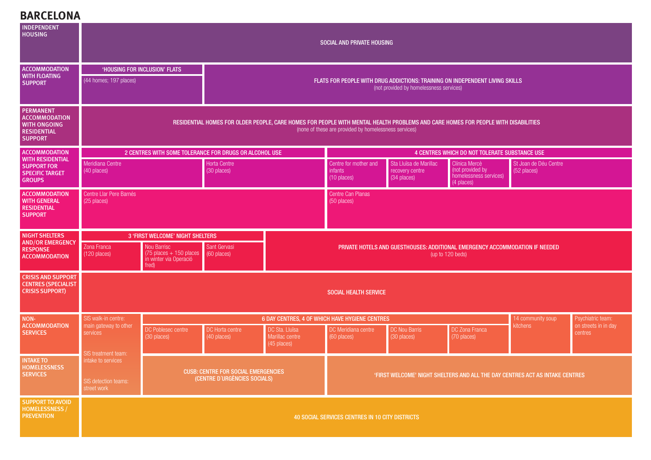# **BARCELONA**

| <b>INDEPENDENT</b><br><b>HOUSING</b>                                                                           |                                                                                 |                                                                             |                                                                            |                                                                                                  | <b>SOCIAL AND PRIVATE HOUSING</b>                                            |                                                          |                                                                                                                                   |                                      |                                 |  |
|----------------------------------------------------------------------------------------------------------------|---------------------------------------------------------------------------------|-----------------------------------------------------------------------------|----------------------------------------------------------------------------|--------------------------------------------------------------------------------------------------|------------------------------------------------------------------------------|----------------------------------------------------------|-----------------------------------------------------------------------------------------------------------------------------------|--------------------------------------|---------------------------------|--|
| <b>ACCOMMODATION</b><br><b>WITH FLOATING</b><br><b>SUPPORT</b>                                                 | (44 homes; 197 places)                                                          | 'HOUSING FOR INCLUSION' FLATS                                               |                                                                            |                                                                                                  |                                                                              | (not provided by homelessness services)                  | FLATS FOR PEOPLE WITH DRUG ADDICTIONS: TRAINING ON INDEPENDENT LIVING SKILLS                                                      |                                      |                                 |  |
| <b>PERMANENT</b><br><b>ACCOMMODATION</b><br><b>WITH ONGOING</b><br><b>RESIDENT<u>IAL</u></b><br><b>SUPPORT</b> |                                                                                 |                                                                             |                                                                            |                                                                                                  | (none of these are provided by homelessness services)                        |                                                          | RESIDENTIAL HOMES FOR OLDER PEOPLE, CARE HOMES FOR PEOPLE WITH MENTAL HEALTH PROBLEMS AND CARE HOMES FOR PEOPLE WITH DISABILITIES |                                      |                                 |  |
| <b>ACCOMMODATION</b>                                                                                           |                                                                                 | 2 CENTRES WITH SOME TOLERANCE FOR DRUGS OR ALCOHOL USE                      |                                                                            |                                                                                                  |                                                                              |                                                          | 4 CENTRES WHICH DO NOT TOLERATE SUBSTANCE USE                                                                                     |                                      |                                 |  |
| <b>WITH RESIDENTIAL</b><br><b>SUPPORT FOR</b><br><b>SPECIFIC TARGET</b><br><b>GROUPS</b>                       | Meridiana Centre<br>(40 places)                                                 | Horta Centre<br>(30 places)                                                 |                                                                            |                                                                                                  | Centre for mother and<br>infants<br>(10 places)                              | Sta Lluïsa de Marillac<br>recovery centre<br>(34 places) | Clínica Mercè<br>(not provided by<br>homelessness services)<br>(4 places)                                                         | St Joan de Déu Centre<br>(52 places) |                                 |  |
| <b>ACCOMMODATION</b><br><b>WITH GENERAL</b><br><b>RESIDENTIAL</b><br><b>SUPPORT</b>                            | Centre Llar Pere Barnés<br>(25 places)                                          |                                                                             |                                                                            |                                                                                                  | <b>Centre Can Planas</b><br>(50 places)                                      |                                                          |                                                                                                                                   |                                      |                                 |  |
| <b>NIGHT SHELTERS</b><br><b>AND/OR EMERGENCY</b><br><b>RESPONSE</b><br><b>ACCOMMODATION</b>                    |                                                                                 | 3 'FIRST WELCOME' NIGHT SHELTERS                                            |                                                                            |                                                                                                  |                                                                              |                                                          |                                                                                                                                   |                                      |                                 |  |
|                                                                                                                | Zona Franca<br>$(120$ places)                                                   | Nou Barrisc<br>$(75$ places + 150 places<br>in winter via Operació<br>fred) | Sant Gervasi<br>(60 places)                                                | PRIVATE HOTELS AND GUESTHOUSES: ADDITIONAL EMERGENCY ACCOMMODATION IF NEEDED<br>(up to 120 beds) |                                                                              |                                                          |                                                                                                                                   |                                      |                                 |  |
| <b>CRISIS AND SUPPORT</b><br><b>CENTRES (SPECIALIST</b><br><b>CRISIS SUPPORT)</b>                              |                                                                                 |                                                                             |                                                                            |                                                                                                  | <b>SOCIAL HEALTH SERVICE</b>                                                 |                                                          |                                                                                                                                   |                                      |                                 |  |
| NON-                                                                                                           | SIS walk-in centre:                                                             |                                                                             |                                                                            | 6 DAY CENTRES, 4 OF WHICH HAVE HYGIENE CENTRES                                                   |                                                                              |                                                          |                                                                                                                                   | 14 community soup                    | Psychiatric team:               |  |
| <b>ACCOMMODATION</b><br><b>SERVICES</b>                                                                        | main gateway to other<br>services                                               | DC Poblesec centre<br>(30 places)                                           | DC Horta centre<br>(40 places)                                             | DC Sta. Lluïsa<br>Marillac centre<br>(45 places)                                                 | DC Meridiana centre<br>(60 places)                                           | <b>DC Nou Barris</b><br>(30 places)                      | <b>DC Zona Franca</b><br>(70 places)                                                                                              | <b>stchens</b>                       | on streets in in day<br>centres |  |
| <b>INTAKE TO</b><br><b>HOMELESSNESS</b><br><b>SERVICES</b>                                                     | SIS treatment team:<br>ntake to services<br>SIS detection teams:<br>street work |                                                                             | <b>CUSB: CENTRE FOR SOCIAL EMERGENCIES</b><br>(CENTRE D'URGÈNCIES SOCIALS) |                                                                                                  | 'FIRST WELCOME' NIGHT SHELTERS AND ALL THE DAY CENTRES ACT AS INTAKE CENTRES |                                                          |                                                                                                                                   |                                      |                                 |  |
| <b>SUPPORT TO AVOID</b><br><b>HOMELESSNESS /</b><br><b>PREVENTION</b>                                          |                                                                                 |                                                                             |                                                                            |                                                                                                  | 40 SOCIAL SERVICES CENTRES IN 10 CITY DISTRICTS                              |                                                          |                                                                                                                                   |                                      |                                 |  |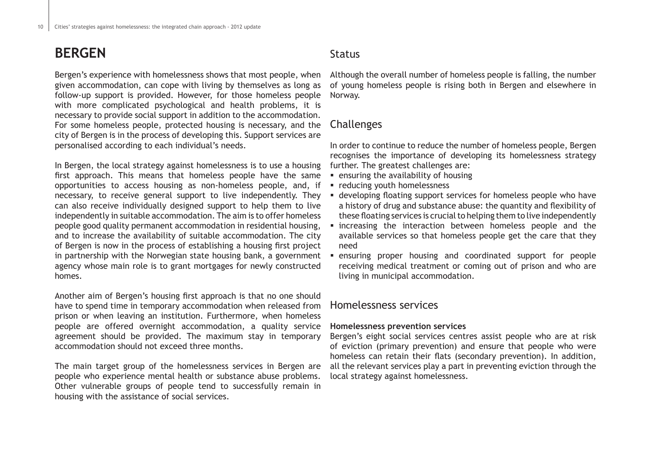# **BERGEN**

Bergen's experience with homelessness shows that most people, when given accommodation, can cope with living by themselves as long as follow-up support is provided. However, for those homeless people with more complicated psychological and health problems, it is necessary to provide social support in addition to the accommodation. For some homeless people, protected housing is necessary, and the city of Bergen is in the process of developing this. Support services are personalised according to each individual's needs.

In Bergen, the local strategy against homelessness is to use a housing first approach. This means that homeless people have the same opportunities to access housing as non-homeless people, and, if necessary, to receive general support to live independently. They can also receive individually designed support to help them to live independently in suitable accommodation. The aim is to offer homeless people good quality permanent accommodation in residential housing, and to increase the availability of suitable accommodation. The city of Bergen is now in the process of establishing a housing first project in partnership with the Norwegian state housing bank, a government agency whose main role is to grant mortgages for newly constructed homes.

Another aim of Bergen's housing first approach is that no one should have to spend time in temporary accommodation when released from prison or when leaving an institution. Furthermore, when homeless people are offered overnight accommodation, a quality service agreement should be provided. The maximum stay in temporary accommodation should not exceed three months.

The main target group of the homelessness services in Bergen are people who experience mental health or substance abuse problems. Other vulnerable groups of people tend to successfully remain in housing with the assistance of social services.

# Status

Although the overall number of homeless people is falling, the number of young homeless people is rising both in Bergen and elsewhere in Norway.

## Challenges

In order to continue to reduce the number of homeless people, Bergen recognises the importance of developing its homelessness strategy further. The greatest challenges are:

- ensuring the availability of housing
- **F** reducing youth homelessness
- developing floating support services for homeless people who have a history of drug and substance abuse: the quantity and flexibility of these floating services is crucial to helping them to live independently
- increasing the interaction between homeless people and the available services so that homeless people get the care that they need
- ensuring proper housing and coordinated support for people receiving medical treatment or coming out of prison and who are living in municipal accommodation.

### Homelessness services

#### **Homelessness prevention services**

Bergen's eight social services centres assist people who are at risk of eviction (primary prevention) and ensure that people who were homeless can retain their flats (secondary prevention). In addition, all the relevant services play a part in preventing eviction through the local strategy against homelessness.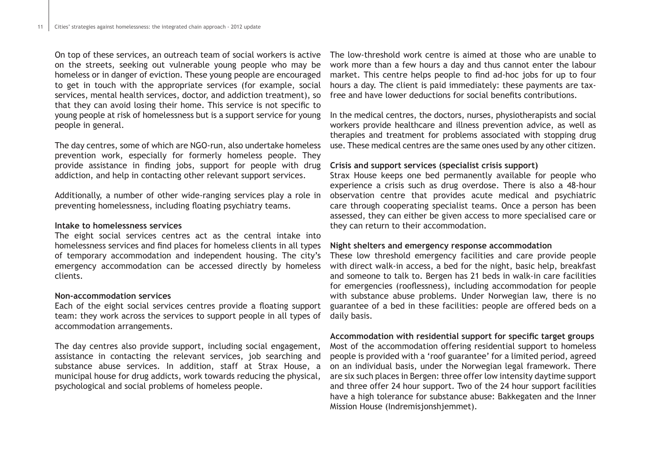On top of these services, an outreach team of social workers is active on the streets, seeking out vulnerable young people who may be homeless or in danger of eviction. These young people are encouraged to get in touch with the appropriate services (for example, social services, mental health services, doctor, and addiction treatment), so that they can avoid losing their home. This service is not specific to young people at risk of homelessness but is a support service for young people in general.

The day centres, some of which are NGO-run, also undertake homeless prevention work, especially for formerly homeless people. They provide assistance in finding jobs, support for people with drug addiction, and help in contacting other relevant support services.

Additionally, a number of other wide-ranging services play a role in preventing homelessness, including floating psychiatry teams.

#### **Intake to homelessness services**

The eight social services centres act as the central intake into homelessness services and find places for homeless clients in all types of temporary accommodation and independent housing. The city's emergency accommodation can be accessed directly by homeless clients.

#### **Non-accommodation services**

Each of the eight social services centres provide a floating support team: they work across the services to support people in all types of accommodation arrangements.

The day centres also provide support, including social engagement, assistance in contacting the relevant services, job searching and substance abuse services. In addition, staff at Strax House, a municipal house for drug addicts, work towards reducing the physical, psychological and social problems of homeless people.

The low-threshold work centre is aimed at those who are unable to work more than a few hours a day and thus cannot enter the labour market. This centre helps people to find ad-hoc jobs for up to four hours a day. The client is paid immediately: these payments are taxfree and have lower deductions for social benefits contributions.

In the medical centres, the doctors, nurses, physiotherapists and social workers provide healthcare and illness prevention advice, as well as therapies and treatment for problems associated with stopping drug use. These medical centres are the same ones used by any other citizen.

#### **Crisis and support services (specialist crisis support)**

Strax House keeps one bed permanently available for people who experience a crisis such as drug overdose. There is also a 48-hour observation centre that provides acute medical and psychiatric care through cooperating specialist teams. Once a person has been assessed, they can either be given access to more specialised care or they can return to their accommodation.

#### **Night shelters and emergency response accommodation**

These low threshold emergency facilities and care provide people with direct walk-in access, a bed for the night, basic help, breakfast and someone to talk to. Bergen has 21 beds in walk-in care facilities for emergencies (rooflessness), including accommodation for people with substance abuse problems. Under Norwegian law, there is no guarantee of a bed in these facilities: people are offered beds on a daily basis.

#### **Accommodation with residential support for specific target groups**

Most of the accommodation offering residential support to homeless people is provided with a 'roof guarantee' for a limited period, agreed on an individual basis, under the Norwegian legal framework. There are six such places in Bergen: three offer low intensity daytime support and three offer 24 hour support. Two of the 24 hour support facilities have a high tolerance for substance abuse: Bakkegaten and the Inner Mission House (Indremisjonshjemmet).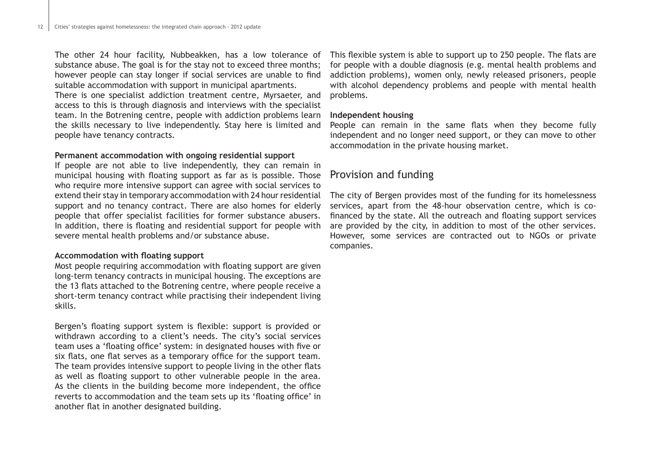The other 24 hour facility, Nubbeakken, has a low tolerance of substance abuse. The goal is for the stay not to exceed three months; however people can stay longer if social services are unable to find suitable accommodation with support in municipal apartments.

There is one specialist addiction treatment centre, Myrsaeter, and access to this is through diagnosis and interviews with the specialist team. In the Botrening centre, people with addiction problems learn the skills necessary to live independently. Stay here is limited and people have tenancy contracts.

#### **Permanent accommodation with ongoing residential support**

If people are not able to live independently, they can remain in municipal housing with floating support as far as is possible. Those who require more intensive support can agree with social services to extend their stay in temporary accommodation with 24 hour residential support and no tenancy contract. There are also homes for elderly people that offer specialist facilities for former substance abusers. In addition, there is floating and residential support for people with severe mental health problems and/or substance abuse.

#### **Accommodation with floating support**

Most people requiring accommodation with floating support are given long-term tenancy contracts in municipal housing. The exceptions are the 13 flats attached to the Botrening centre, where people receive a short-term tenancy contract while practising their independent living skills.

Bergen's floating support system is flexible: support is provided or withdrawn according to a client's needs. The city's social services team uses a 'floating office' system: in designated houses with five or six flats, one flat serves as a temporary office for the support team. The team provides intensive support to people living in the other flats as well as floating support to other vulnerable people in the area. As the clients in the building become more independent, the office reverts to accommodation and the team sets up its 'floating office' in another flat in another designated building.

This flexible system is able to support up to 250 people. The flats are for people with a double diagnosis (e.g. mental health problems and addiction problems), women only, newly released prisoners, people with alcohol dependency problems and people with mental health problems.

#### **Independent housing**

People can remain in the same flats when they become fully independent and no longer need support, or they can move to other accommodation in the private housing market.

## Provision and funding

The city of Bergen provides most of the funding for its homelessness services, apart from the 48-hour observation centre, which is cofinanced by the state. All the outreach and floating support services are provided by the city, in addition to most of the other services. However, some services are contracted out to NGOs or private companies.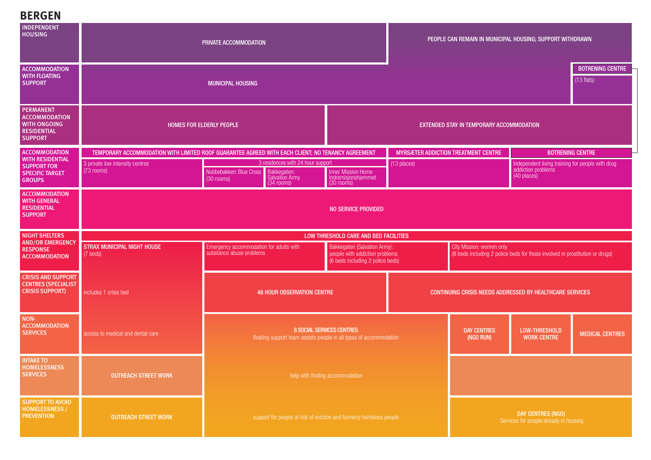# **BERGEN**

| <b>INDEPENDENT</b><br><b>HOUSING</b>                                                             |                                                                                                   | PRIVATE ACCOMMODATION                                                                                                                                                                  |  |                                                                                                        | PEOPLE CAN REMAIN IN MUNICIPAL HOUSING; SUPPORT WITHDRAWN |                                                                    |                                                                                       |                        |  |
|--------------------------------------------------------------------------------------------------|---------------------------------------------------------------------------------------------------|----------------------------------------------------------------------------------------------------------------------------------------------------------------------------------------|--|--------------------------------------------------------------------------------------------------------|-----------------------------------------------------------|--------------------------------------------------------------------|---------------------------------------------------------------------------------------|------------------------|--|
| <b>ACCOMMODATION</b><br><b>WITH FLOATING</b><br><b>SUPPORT</b>                                   |                                                                                                   | <b>MUNICIPAL HOUSING</b>                                                                                                                                                               |  |                                                                                                        |                                                           |                                                                    | <b>BOTRENING CENTRE</b><br>$(13$ flats)                                               |                        |  |
| PERMANENT<br><b>ACCOMMODATION</b><br><b>WITH ONGOING</b><br><b>RESIDENTIAL</b><br><b>SUPPORT</b> | HOMES FOR ELDERLY PEOPLE                                                                          |                                                                                                                                                                                        |  | <b>EXTENDED STAY IN TEMPORARY ACCOMMODATION</b>                                                        |                                                           |                                                                    |                                                                                       |                        |  |
| <b>ACCOMMODATION</b>                                                                             | TEMPORARY ACCOMMODATION WITH LIMITED ROOF GUARANTEE AGREED WITH EACH CLIENT; NO TENANCY AGREEMENT |                                                                                                                                                                                        |  |                                                                                                        | MYRSÆTER ADDICTION TREATMENT CENTRE                       |                                                                    | <b>BOTRENING CENTRE</b>                                                               |                        |  |
| <b>WITH RESIDENTIAL</b><br><b>SUPPORT FOR</b><br><b>SPECIFIC TARGET</b><br><b>GROUPS</b>         | 3 private low intensity centres<br>(73 rooms)                                                     | 3 residences with 24 hour support<br>Nubbebakken: Blue Cross<br>Inner Mission Home<br>Indremisjonshjemmet<br>Bakkegaten:<br>Salvation Army<br>(30 rooms)<br>(34 rooms)<br>$(30$ rooms) |  |                                                                                                        | (13 places)                                               |                                                                    | Independent living training for people with drug<br>addiction problems<br>(40 places) |                        |  |
| <b>ACCOMMODATION</b><br><b>WITH GENERAL</b><br><b>RESIDENTIAL</b><br><b>SUPPORT</b>              | <b>NO SERVICE PROVIDED</b>                                                                        |                                                                                                                                                                                        |  |                                                                                                        |                                                           |                                                                    |                                                                                       |                        |  |
| NIGHT SHELTERS<br><b>AND/OR EMERGENCY</b>                                                        | LOW THRESHOLD CARE AND BED FACILITIES                                                             |                                                                                                                                                                                        |  |                                                                                                        |                                                           |                                                                    |                                                                                       |                        |  |
| <b>RESPONSE</b><br><b>ACCOMMODATION</b>                                                          | <b>STRAX MUNICIPAL NIGHT HOUSE</b><br>(7 beds)                                                    | Emergency accommodation for adults with<br>substance abuse problems                                                                                                                    |  | Bakkegaten (Salvation Army):<br>people with addiction problems<br>(6 beds including 2 police beds)     |                                                           | City Mission: women only                                           | (8 beds including 2 police beds for those involved in prostitution or drugs)          |                        |  |
| <b>CRISIS AND SUPPORT</b><br><b>CENTRES (SPECIALIST</b><br><b>CRISIS SUPPORT)</b>                | includes 1 crisis bed                                                                             | <b>48 HOUR OBSERVATION CENTRE</b>                                                                                                                                                      |  |                                                                                                        | CONTINUING CRISIS NEEDS ADDRESSED BY HEALTHCARE SERVICES  |                                                                    |                                                                                       |                        |  |
| NON-<br><b>ACCOMMODATION</b><br><b>SERVICES</b>                                                  | access to medical and dental care                                                                 |                                                                                                                                                                                        |  | <b>8 SOCIAL SERVICES CENTRES</b><br>floating support team assists people in all types of accommodation |                                                           | <b>DAY CENTRES</b><br>(NGO RUN)                                    | <b>LOW-THRESHOLD</b><br><b>WORK CENTRE</b>                                            | <b>MEDICAL CENTRES</b> |  |
| <b>INTAKE TO</b><br><b>HOMELESSNESS</b><br><b>SERVICES</b>                                       | <b>OUTREACH STREET WORK</b>                                                                       |                                                                                                                                                                                        |  | help with finding accommodation                                                                        |                                                           |                                                                    |                                                                                       |                        |  |
| <b>SUPPORT TO AVOID</b><br>HOMELESSNESS /<br><b>PREVENTION</b>                                   | <b>OUTREACH STREET WORK</b>                                                                       |                                                                                                                                                                                        |  | support for people at risk of eviction and formerly homeless people                                    |                                                           | <b>DAY CENTRES (NGO)</b><br>Services for people already in housing |                                                                                       |                        |  |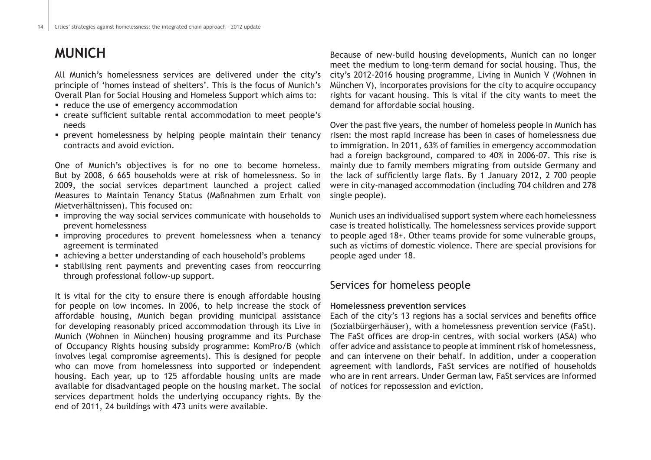# **MUNICH**

All Munich's homelessness services are delivered under the city's principle of 'homes instead of shelters'. This is the focus of Munich's Overall Plan for Social Housing and Homeless Support which aims to:

- **•** reduce the use of emergency accommodation
- create sufficient suitable rental accommodation to meet people's needs
- **Performal in the prevent homelessness by helping people maintain their tenancy** contracts and avoid eviction.

One of Munich's objectives is for no one to become homeless. But by 2008, 6 665 households were at risk of homelessness. So in 2009, the social services department launched a project called Measures to Maintain Tenancy Status (Maßnahmen zum Erhalt von Mietverhältnissen). This focused on:

- improving the way social services communicate with households to prevent homelessness
- improving procedures to prevent homelessness when a tenancy agreement is terminated
- achieving a better understanding of each household's problems
- stabilising rent payments and preventing cases from reoccurring through professional follow-up support.

It is vital for the city to ensure there is enough affordable housing for people on low incomes. In 2006, to help increase the stock of affordable housing, Munich began providing municipal assistance for developing reasonably priced accommodation through its Live in Munich (Wohnen in München) housing programme and its Purchase of Occupancy Rights housing subsidy programme: KomPro/B (which involves legal compromise agreements). This is designed for people who can move from homelessness into supported or independent housing. Each year, up to 125 affordable housing units are made available for disadvantaged people on the housing market. The social services department holds the underlying occupancy rights. By the end of 2011, 24 buildings with 473 units were available.

Because of new-build housing developments, Munich can no longer meet the medium to long-term demand for social housing. Thus, the city's 2012-2016 housing programme, Living in Munich V (Wohnen in München V), incorporates provisions for the city to acquire occupancy rights for vacant housing. This is vital if the city wants to meet the demand for affordable social housing.

Over the past five years, the number of homeless people in Munich has risen: the most rapid increase has been in cases of homelessness due to immigration. In 2011, 63% of families in emergency accommodation had a foreign background, compared to 40% in 2006-07. This rise is mainly due to family members migrating from outside Germany and the lack of sufficiently large flats. By 1 January 2012, 2 700 people were in city-managed accommodation (including 704 children and 278 single people).

Munich uses an individualised support system where each homelessness case is treated holistically. The homelessness services provide support to people aged 18+. Other teams provide for some vulnerable groups, such as victims of domestic violence. There are special provisions for people aged under 18.

# Services for homeless people

#### **Homelessness prevention services**

Each of the city's 13 regions has a social services and benefits office (Sozialbürgerhäuser), with a homelessness prevention service (FaSt). The FaSt offices are drop-in centres, with social workers (ASA) who offer advice and assistance to people at imminent risk of homelessness, and can intervene on their behalf. In addition, under a cooperation agreement with landlords, FaSt services are notified of households who are in rent arrears. Under German law, FaSt services are informed of notices for repossession and eviction.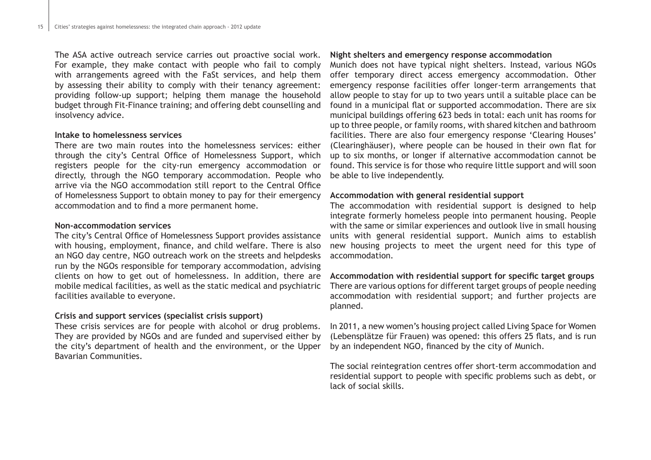The ASA active outreach service carries out proactive social work. For example, they make contact with people who fail to comply with arrangements agreed with the FaSt services, and help them by assessing their ability to comply with their tenancy agreement: providing follow-up support; helping them manage the household budget through Fit-Finance training; and offering debt counselling and insolvency advice.

#### **Intake to homelessness services**

There are two main routes into the homelessness services: either through the city's Central Office of Homelessness Support, which registers people for the city-run emergency accommodation or directly, through the NGO temporary accommodation. People who arrive via the NGO accommodation still report to the Central Office of Homelessness Support to obtain money to pay for their emergency accommodation and to find a more permanent home.

#### **Non-accommodation services**

The city's Central Office of Homelessness Support provides assistance with housing, employment, finance, and child welfare. There is also an NGO day centre, NGO outreach work on the streets and helpdesks run by the NGOs responsible for temporary accommodation, advising clients on how to get out of homelessness. In addition, there are mobile medical facilities, as well as the static medical and psychiatric facilities available to everyone.

#### **Crisis and support services (specialist crisis support)**

These crisis services are for people with alcohol or drug problems. They are provided by NGOs and are funded and supervised either by the city's department of health and the environment, or the Upper Bavarian Communities.

#### **Night shelters and emergency response accommodation**

Munich does not have typical night shelters. Instead, various NGOs offer temporary direct access emergency accommodation. Other emergency response facilities offer longer-term arrangements that allow people to stay for up to two years until a suitable place can be found in a municipal flat or supported accommodation. There are six municipal buildings offering 623 beds in total: each unit has rooms for up to three people, or family rooms, with shared kitchen and bathroom facilities. There are also four emergency response 'Clearing Houses' (Clearinghäuser), where people can be housed in their own flat for up to six months, or longer if alternative accommodation cannot be found. This service is for those who require little support and will soon be able to live independently.

#### **Accommodation with general residential support**

The accommodation with residential support is designed to help integrate formerly homeless people into permanent housing. People with the same or similar experiences and outlook live in small housing units with general residential support. Munich aims to establish new housing projects to meet the urgent need for this type of accommodation.

**Accommodation with residential support for specific target groups** There are various options for different target groups of people needing accommodation with residential support; and further projects are planned.

In 2011, a new women's housing project called Living Space for Women (Lebensplätze für Frauen) was opened: this offers 25 flats, and is run by an independent NGO, financed by the city of Munich.

The social reintegration centres offer short-term accommodation and residential support to people with specific problems such as debt, or lack of social skills.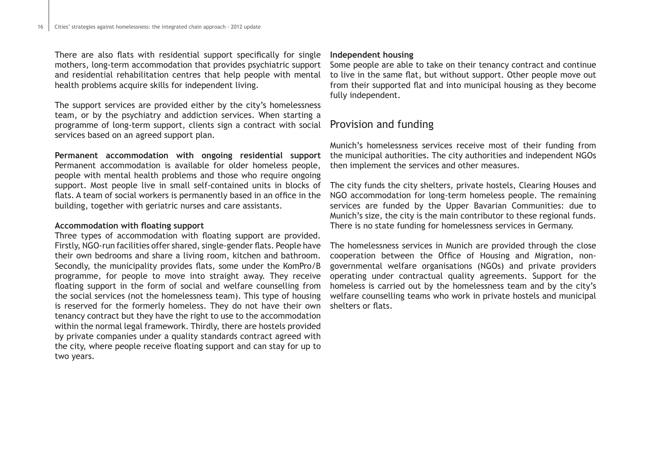There are also flats with residential support specifically for single mothers, long-term accommodation that provides psychiatric support and residential rehabilitation centres that help people with mental health problems acquire skills for independent living.

The support services are provided either by the city's homelessness team, or by the psychiatry and addiction services. When starting a programme of long-term support, clients sign a contract with social services based on an agreed support plan.

**Permanent accommodation with ongoing residential support**  Permanent accommodation is available for older homeless people, people with mental health problems and those who require ongoing support. Most people live in small self-contained units in blocks of flats. A team of social workers is permanently based in an office in the building, together with geriatric nurses and care assistants.

#### **Accommodation with floating support**

Three types of accommodation with floating support are provided. Firstly, NGO-run facilities offer shared, single-gender flats. People have their own bedrooms and share a living room, kitchen and bathroom. Secondly, the municipality provides flats, some under the KomPro/B programme, for people to move into straight away. They receive floating support in the form of social and welfare counselling from the social services (not the homelessness team). This type of housing is reserved for the formerly homeless. They do not have their own tenancy contract but they have the right to use to the accommodation within the normal legal framework. Thirdly, there are hostels provided by private companies under a quality standards contract agreed with the city, where people receive floating support and can stay for up to two years.

#### **Independent housing**

Some people are able to take on their tenancy contract and continue to live in the same flat, but without support. Other people move out from their supported flat and into municipal housing as they become fully independent.

## Provision and funding

Munich's homelessness services receive most of their funding from the municipal authorities. The city authorities and independent NGOs then implement the services and other measures.

The city funds the city shelters, private hostels, Clearing Houses and NGO accommodation for long-term homeless people. The remaining services are funded by the Upper Bavarian Communities: due to Munich's size, the city is the main contributor to these regional funds. There is no state funding for homelessness services in Germany.

The homelessness services in Munich are provided through the close cooperation between the Office of Housing and Migration, nongovernmental welfare organisations (NGOs) and private providers operating under contractual quality agreements. Support for the homeless is carried out by the homelessness team and by the city's welfare counselling teams who work in private hostels and municipal shelters or flats.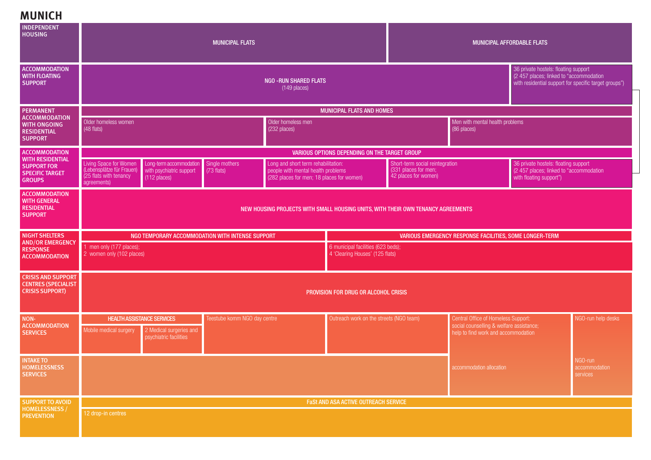**MUNICH**

| <b>INDEPENDENT</b><br><b>HOUSING</b>                                                     |                                                                                              |                                                                               | <b>MUNICIPAL FLATS</b>         |                                                                                                                        |                                                                       |                                                                                 | MUNICIPAL AFFORDABLE FLATS                                                      |                                                                                                                                          |                                             |  |  |
|------------------------------------------------------------------------------------------|----------------------------------------------------------------------------------------------|-------------------------------------------------------------------------------|--------------------------------|------------------------------------------------------------------------------------------------------------------------|-----------------------------------------------------------------------|---------------------------------------------------------------------------------|---------------------------------------------------------------------------------|------------------------------------------------------------------------------------------------------------------------------------------|---------------------------------------------|--|--|
| <b>ACCOMMODATION</b><br><b>WITH FLOATING</b><br><b>SUPPORT</b>                           |                                                                                              |                                                                               |                                | <b>NGO -RUN SHARED FLATS</b><br>(149 places)                                                                           |                                                                       |                                                                                 |                                                                                 | 36 private hostels: floating support<br>(2 457 places; linked to "accommodation<br>with residential support for specific target groups") |                                             |  |  |
| PERMANENT                                                                                | MUNICIPAL FLATS AND HOMES                                                                    |                                                                               |                                |                                                                                                                        |                                                                       |                                                                                 |                                                                                 |                                                                                                                                          |                                             |  |  |
| <b>ACCOMMODATION</b><br><b>WITH ONGOING</b><br><b>RESIDENTIAL</b><br><b>SUPPORT</b>      | Older homeless women<br>Older homeless men<br>(232 places)<br>$(48$ flats)                   |                                                                               |                                |                                                                                                                        | Men with mental health problems<br>(86 places)                        |                                                                                 |                                                                                 |                                                                                                                                          |                                             |  |  |
| <b>ACCOMMODATION</b>                                                                     |                                                                                              |                                                                               |                                |                                                                                                                        | VARIOUS OPTIONS DEPENDING ON THE TARGET GROUP                         |                                                                                 |                                                                                 |                                                                                                                                          |                                             |  |  |
| <b>WITH RESIDENTIAL</b><br><b>SUPPORT FOR</b><br><b>SPECIFIC TARGET</b><br><b>GROUPS</b> | Living Space for Women<br>(Lebensplätze für Frauen)<br>(25 flats with tenancy<br>agreements) | Long-term accommodation<br>with psychiatric support<br>$(112 \text{ places})$ | Single mothers<br>$(73$ flats) | Long and short term rehabilitation:<br>people with mental health problems<br>(282 places for men; 18 places for women) |                                                                       | Short-term social reintegration<br>(331 places for men;<br>42 places for women) |                                                                                 | 36 private hostels: floating support<br>(2 457 places; linked to "accommodation<br>with floating support")                               |                                             |  |  |
| <b>ACCOMMODATION</b><br><b>WITH GENERAL</b><br><b>RESIDENTIAL</b><br><b>SUPPORT</b>      | NEW HOUSING PROJECTS WITH SMALL HOUSING UNITS, WITH THEIR OWN TENANCY AGREEMENTS             |                                                                               |                                |                                                                                                                        |                                                                       |                                                                                 |                                                                                 |                                                                                                                                          |                                             |  |  |
| <b>NIGHT SHELTERS</b><br><b>AND/OR EMERGENCY</b>                                         |                                                                                              | NGO TEMPORARY ACCOMMODATION WITH INTENSE SUPPORT                              |                                |                                                                                                                        |                                                                       | VARIOUS EMERGENCY RESPONSE FACILITIES, SOME LONGER-TERM                         |                                                                                 |                                                                                                                                          |                                             |  |  |
| <b>RESPONSE</b><br><b>ACCOMMODATION</b>                                                  | 1 men only (177 places);<br>2 women only (102 places)                                        |                                                                               |                                |                                                                                                                        | 6 municipal facilities (623 beds);<br>4 'Clearing Houses' (125 flats) |                                                                                 |                                                                                 |                                                                                                                                          |                                             |  |  |
| <b>CRISIS AND SUPPORT</b><br><b>CENTRES (SPECIALIST</b><br><b>CRISIS SUPPORT)</b>        |                                                                                              |                                                                               |                                |                                                                                                                        | <b>PROVISION FOR DRUG OR ALCOHOL CRISIS</b>                           |                                                                                 |                                                                                 |                                                                                                                                          |                                             |  |  |
| NON-<br><b>ACCOMMODATION</b>                                                             | <b>HEALTH ASSISTANCE SERVICES</b>                                                            |                                                                               | Teestube komm NGO day centre   |                                                                                                                        | Outreach work on the streets (NGO team)                               |                                                                                 | Central Office of Homeless Support:                                             |                                                                                                                                          | NGO-run help desks                          |  |  |
| <b>SERVICES</b>                                                                          | Mobile medical surgery                                                                       | 2 Medical surgeries and<br>psychiatric facilities                             |                                |                                                                                                                        |                                                                       |                                                                                 | social counselling & welfare assistance;<br>help to find work and accommodation |                                                                                                                                          |                                             |  |  |
| <b>INTAKE TO</b><br><b>HOMELESSNESS</b><br><b>SERVICES</b>                               |                                                                                              |                                                                               |                                |                                                                                                                        |                                                                       |                                                                                 | accommodation allocation                                                        |                                                                                                                                          | <b>NGO-run</b><br>accommodation<br>services |  |  |
| <b>SUPPORT TO AVOID</b><br>HOMELESSNESS /                                                |                                                                                              |                                                                               |                                |                                                                                                                        | FaSt AND ASA ACTIVE OUTREACH SERVICE                                  |                                                                                 |                                                                                 |                                                                                                                                          |                                             |  |  |
| <b>PREVENTION</b>                                                                        | 12 drop-in centres                                                                           |                                                                               |                                |                                                                                                                        |                                                                       |                                                                                 |                                                                                 |                                                                                                                                          |                                             |  |  |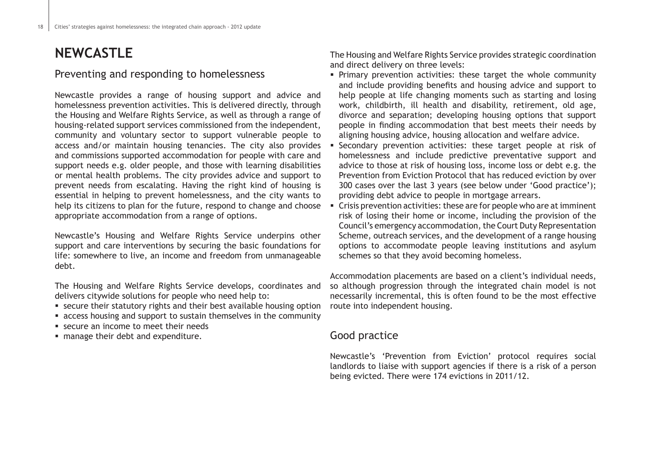# **NEWCASTLE**

### Preventing and responding to homelessness

Newcastle provides a range of housing support and advice and homelessness prevention activities. This is delivered directly, through the Housing and Welfare Rights Service, as well as through a range of housing-related support services commissioned from the independent, community and voluntary sector to support vulnerable people to access and/or maintain housing tenancies. The city also provides and commissions supported accommodation for people with care and support needs e.g. older people, and those with learning disabilities or mental health problems. The city provides advice and support to prevent needs from escalating. Having the right kind of housing is essential in helping to prevent homelessness, and the city wants to help its citizens to plan for the future, respond to change and choose appropriate accommodation from a range of options.

Newcastle's Housing and Welfare Rights Service underpins other support and care interventions by securing the basic foundations for life: somewhere to live, an income and freedom from unmanageable debt.

The Housing and Welfare Rights Service develops, coordinates and delivers citywide solutions for people who need help to:

- secure their statutory rights and their best available housing option
- access housing and support to sustain themselves in the community
- secure an income to meet their needs
- manage their debt and expenditure.

The Housing and Welfare Rights Service provides strategic coordination and direct delivery on three levels:

- Primary prevention activities: these target the whole community and include providing benefits and housing advice and support to help people at life changing moments such as starting and losing work, childbirth, ill health and disability, retirement, old age, divorce and separation; developing housing options that support people in finding accommodation that best meets their needs by aligning housing advice, housing allocation and welfare advice.
- Secondary prevention activities: these target people at risk of homelessness and include predictive preventative support and advice to those at risk of housing loss, income loss or debt e.g. the Prevention from Eviction Protocol that has reduced eviction by over 300 cases over the last 3 years (see below under 'Good practice'); providing debt advice to people in mortgage arrears.
- Crisis prevention activities: these are for people who are at imminent risk of losing their home or income, including the provision of the Council's emergency accommodation, the Court Duty Representation Scheme, outreach services, and the development of a range housing options to accommodate people leaving institutions and asylum schemes so that they avoid becoming homeless.

Accommodation placements are based on a client's individual needs, so although progression through the integrated chain model is not necessarily incremental, this is often found to be the most effective route into independent housing.

## Good practice

Newcastle's 'Prevention from Eviction' protocol requires social landlords to liaise with support agencies if there is a risk of a person being evicted. There were 174 evictions in 2011/12.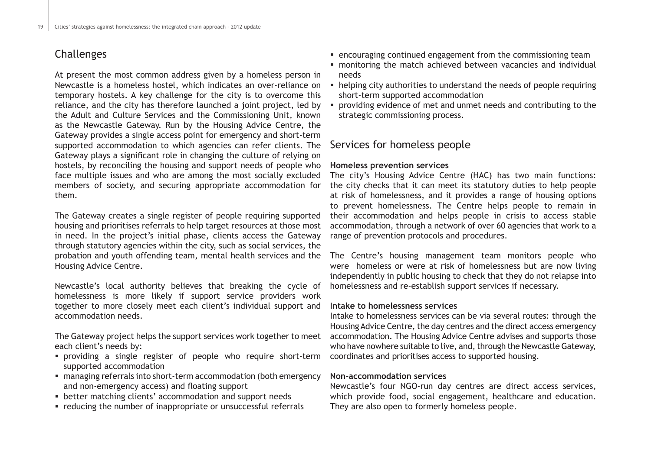# Challenges

At present the most common address given by a homeless person in Newcastle is a homeless hostel, which indicates an over-reliance on temporary hostels. A key challenge for the city is to overcome this reliance, and the city has therefore launched a joint project, led by the Adult and Culture Services and the Commissioning Unit, known as the Newcastle Gateway. Run by the Housing Advice Centre, the Gateway provides a single access point for emergency and short-term supported accommodation to which agencies can refer clients. The Gateway plays a significant role in changing the culture of relying on hostels, by reconciling the housing and support needs of people who face multiple issues and who are among the most socially excluded members of society, and securing appropriate accommodation for them.

The Gateway creates a single register of people requiring supported housing and prioritises referrals to help target resources at those most in need. In the project's initial phase, clients access the Gateway through statutory agencies within the city, such as social services, the probation and youth offending team, mental health services and the Housing Advice Centre.

Newcastle's local authority believes that breaking the cycle of homelessness is more likely if support service providers work together to more closely meet each client's individual support and accommodation needs.

The Gateway project helps the support services work together to meet each client's needs by:

- providing a single register of people who require short-term supported accommodation
- managing referrals into short-term accommodation (both emergency and non-emergency access) and floating support
- better matching clients' accommodation and support needs
- reducing the number of inappropriate or unsuccessful referrals
- encouraging continued engagement from the commissioning team
- monitoring the match achieved between vacancies and individual needs
- helping city authorities to understand the needs of people requiring short-term supported accommodation
- providing evidence of met and unmet needs and contributing to the strategic commissioning process.

# Services for homeless people

#### **Homeless prevention services**

The city's Housing Advice Centre (HAC) has two main functions: the city checks that it can meet its statutory duties to help people at risk of homelessness, and it provides a range of housing options to prevent homelessness. The Centre helps people to remain in their accommodation and helps people in crisis to access stable accommodation, through a network of over 60 agencies that work to a range of prevention protocols and procedures.

The Centre's housing management team monitors people who were homeless or were at risk of homelessness but are now living independently in public housing to check that they do not relapse into homelessness and re-establish support services if necessary.

#### **Intake to homelessness services**

Intake to homelessness services can be via several routes: through the Housing Advice Centre, the day centres and the direct access emergency accommodation. The Housing Advice Centre advises and supports those who have nowhere suitable to live, and, through the Newcastle Gateway, coordinates and prioritises access to supported housing.

#### **Non-accommodation services**

Newcastle's four NGO-run day centres are direct access services, which provide food, social engagement, healthcare and education. They are also open to formerly homeless people.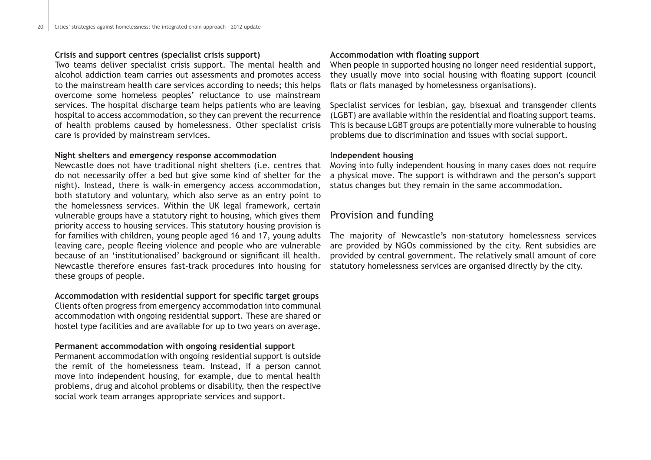#### **Crisis and support centres (specialist crisis support)**

Two teams deliver specialist crisis support. The mental health and alcohol addiction team carries out assessments and promotes access to the mainstream health care services according to needs; this helps overcome some homeless peoples' reluctance to use mainstream services. The hospital discharge team helps patients who are leaving hospital to access accommodation, so they can prevent the recurrence of health problems caused by homelessness. Other specialist crisis care is provided by mainstream services.

#### **Night shelters and emergency response accommodation**

Newcastle does not have traditional night shelters (i.e. centres that do not necessarily offer a bed but give some kind of shelter for the night). Instead, there is walk-in emergency access accommodation, both statutory and voluntary, which also serve as an entry point to the homelessness services. Within the UK legal framework, certain vulnerable groups have a statutory right to housing, which gives them priority access to housing services. This statutory housing provision is for families with children, young people aged 16 and 17, young adults leaving care, people fleeing violence and people who are vulnerable because of an 'institutionalised' background or significant ill health. Newcastle therefore ensures fast-track procedures into housing for these groups of people.

### **Accommodation with residential support for specific target groups** Clients often progress from emergency accommodation into communal

accommodation with ongoing residential support. These are shared or hostel type facilities and are available for up to two years on average.

#### **Permanent accommodation with ongoing residential support**

Permanent accommodation with ongoing residential support is outside the remit of the homelessness team. Instead, if a person cannot move into independent housing, for example, due to mental health problems, drug and alcohol problems or disability, then the respective social work team arranges appropriate services and support.

#### **Accommodation with floating support**

When people in supported housing no longer need residential support, they usually move into social housing with floating support (council flats or flats managed by homelessness organisations).

Specialist services for lesbian, gay, bisexual and transgender clients (LGBT) are available within the residential and floating support teams. This is because LGBT groups are potentially more vulnerable to housing problems due to discrimination and issues with social support.

#### **Independent housing**

Moving into fully independent housing in many cases does not require a physical move. The support is withdrawn and the person's support status changes but they remain in the same accommodation.

## Provision and funding

The majority of Newcastle's non-statutory homelessness services are provided by NGOs commissioned by the city. Rent subsidies are provided by central government. The relatively small amount of core statutory homelessness services are organised directly by the city.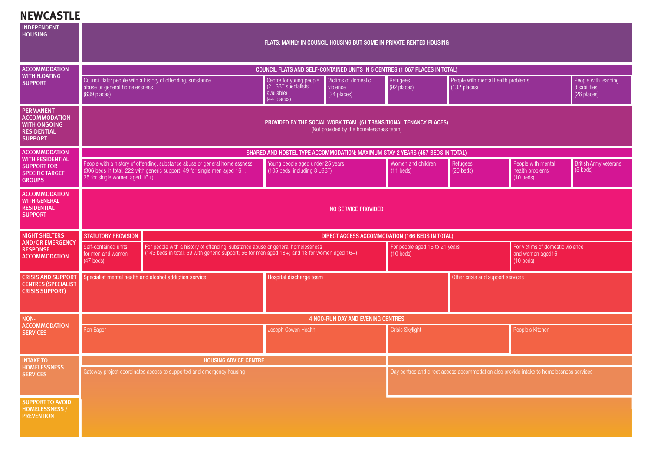# **NEWCASTLE**

| <b>INDEPENDENT</b><br><b>HOUSING</b>                                                                    |                                                                                | FLATS: MAINLY IN COUNCIL HOUSING BUT SOME IN PRIVATE RENTED HOUSING                                                                                                             |                                                                             |                                                |                                                                               |                                                                                          |                                                                      |                                                     |  |  |  |
|---------------------------------------------------------------------------------------------------------|--------------------------------------------------------------------------------|---------------------------------------------------------------------------------------------------------------------------------------------------------------------------------|-----------------------------------------------------------------------------|------------------------------------------------|-------------------------------------------------------------------------------|------------------------------------------------------------------------------------------|----------------------------------------------------------------------|-----------------------------------------------------|--|--|--|
| <b>ACCOMMODATION</b><br><b>WITH FLOATING</b>                                                            | COUNCIL FLATS AND SELF-CONTAINED UNITS IN 5 CENTRES (1,067 PLACES IN TOTAL)    |                                                                                                                                                                                 |                                                                             |                                                |                                                                               |                                                                                          |                                                                      |                                                     |  |  |  |
| <b>SUPPORT</b>                                                                                          | abuse or general homelessness<br>(639 places)                                  | Council flats: people with a history of offending, substance                                                                                                                    | Centre for young people<br>(2 LGBT specialists<br>available)<br>(44 places) | Victims of domestic<br>violence<br>(34 places) | People with mental health problems<br>Refugees<br>(132 places)<br>(92 places) |                                                                                          |                                                                      | People with learning<br>disabilities<br>(26 places) |  |  |  |
| <b>PERMANENT</b><br><b>ACCOMMODATION</b><br><b>WITH ONGOING</b><br><b>RESIDENTIAL</b><br><b>SUPPORT</b> |                                                                                | PROVIDED BY THE SOCIAL WORK TEAM (61 TRANSITIONAL TENANCY PLACES)<br>(Not provided by the homelessness team)                                                                    |                                                                             |                                                |                                                                               |                                                                                          |                                                                      |                                                     |  |  |  |
| <b>ACCOMMODATION</b><br><b>WITH RESIDENTIAL</b>                                                         | SHARED AND HOSTEL TYPE ACCOMMODATION: MAXIMUM STAY 2 YEARS (457 BEDS IN TOTAL) |                                                                                                                                                                                 |                                                                             |                                                |                                                                               |                                                                                          |                                                                      |                                                     |  |  |  |
| <b>SUPPORT FOR</b><br><b>SPECIFIC TARGET</b><br><b>GROUPS</b>                                           | 35 for single women aged 16+)                                                  | People with a history of offending, substance abuse or general homelessness<br>(306 beds in total: 222 with generic support; 49 for single men aged 16+;                        | Young people aged under 25 years<br>(105 beds, including 8 LGBT)            |                                                | Women and children<br>$(11 \text{ beds})$                                     | Refugees<br>$(20$ beds)                                                                  | People with mental<br>health problems<br>$(10$ beds)                 | <b>British Army veterans</b><br>$(5$ beds)          |  |  |  |
| <b>ACCOMMODATION</b><br><b>WITH GENERAL</b><br><b>RESIDENTIAL</b><br><b>SUPPORT</b>                     | <b>NO SERVICE PROVIDED</b>                                                     |                                                                                                                                                                                 |                                                                             |                                                |                                                                               |                                                                                          |                                                                      |                                                     |  |  |  |
| NIGHT SHELTERS<br><b>AND/OR EMERGENCY</b><br><b>RESPONSE</b><br><b>ACCOMMODATION</b>                    | <b>STATUTORY PROVISION</b><br>DIRECT ACCESS ACCOMMODATION (166 BEDS IN TOTAL)  |                                                                                                                                                                                 |                                                                             |                                                |                                                                               |                                                                                          |                                                                      |                                                     |  |  |  |
|                                                                                                         | Self-contained units<br>for men and women<br>$(47$ beds)                       | For people with a history of offending, substance abuse or general homelessness<br>(143 beds in total: 69 with generic support; 56 for men aged 18+; and 18 for women aged 16+) |                                                                             |                                                | For people aged 16 to 21 years<br>$(10 \text{ beds})$                         |                                                                                          | For victims of domestic violence<br>and women aged16+<br>$(10$ beds) |                                                     |  |  |  |
| <b>CRISIS AND SUPPORT</b><br><b>CENTRES (SPECIALIST</b><br><b>CRISIS SUPPORT)</b>                       |                                                                                | Specialist mental health and alcohol addiction service                                                                                                                          | Hospital discharge team                                                     |                                                |                                                                               | Other crisis and support services                                                        |                                                                      |                                                     |  |  |  |
| NON-                                                                                                    |                                                                                |                                                                                                                                                                                 |                                                                             | 4 NGO-RUN DAY AND EVENING CENTRES              |                                                                               |                                                                                          |                                                                      |                                                     |  |  |  |
| <b>ACCOMMODATION</b><br><b>SERVICES</b>                                                                 | Ron Eager                                                                      |                                                                                                                                                                                 | <b>Joseph Cowen Health</b>                                                  |                                                |                                                                               |                                                                                          | People's Kitchen                                                     |                                                     |  |  |  |
| <b>INTAKE TO</b><br><b>HOMELESSNESS</b>                                                                 |                                                                                | <b>HOUSING ADVICE CENTRE</b>                                                                                                                                                    |                                                                             |                                                |                                                                               |                                                                                          |                                                                      |                                                     |  |  |  |
| <b>SERVICES</b>                                                                                         |                                                                                | Gateway project coordinates access to supported and emergency housing                                                                                                           |                                                                             |                                                |                                                                               | Day centres and direct access accommodation also provide intake to homelessness services |                                                                      |                                                     |  |  |  |
| <b>SUPPORT TO AVOID</b><br><b>HOMELESSNESS /</b><br><b>PREVENTION</b>                                   |                                                                                |                                                                                                                                                                                 |                                                                             |                                                |                                                                               |                                                                                          |                                                                      |                                                     |  |  |  |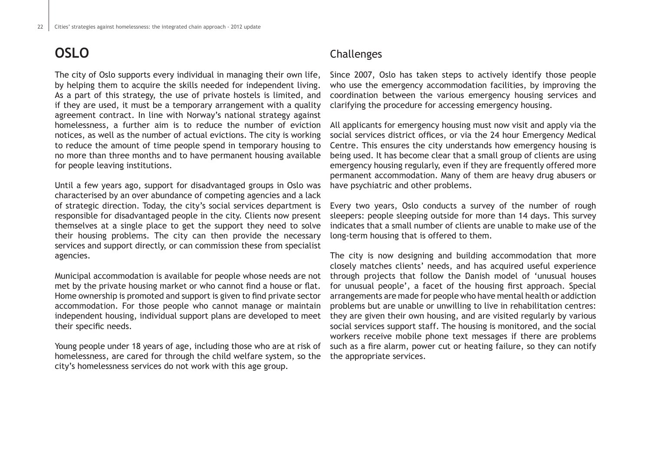# **OSLO**

The city of Oslo supports every individual in managing their own life, by helping them to acquire the skills needed for independent living. As a part of this strategy, the use of private hostels is limited, and if they are used, it must be a temporary arrangement with a quality agreement contract. In line with Norway's national strategy against homelessness, a further aim is to reduce the number of eviction notices, as well as the number of actual evictions. The city is working to reduce the amount of time people spend in temporary housing to no more than three months and to have permanent housing available for people leaving institutions.

Until a few years ago, support for disadvantaged groups in Oslo was characterised by an over abundance of competing agencies and a lack of strategic direction. Today, the city's social services department is responsible for disadvantaged people in the city. Clients now present themselves at a single place to get the support they need to solve their housing problems. The city can then provide the necessary services and support directly, or can commission these from specialist agencies.

Municipal accommodation is available for people whose needs are not met by the private housing market or who cannot find a house or flat. Home ownership is promoted and support is given to find private sector accommodation. For those people who cannot manage or maintain independent housing, individual support plans are developed to meet their specific needs.

Young people under 18 years of age, including those who are at risk of homelessness, are cared for through the child welfare system, so the city's homelessness services do not work with this age group.

# Challenges

Since 2007, Oslo has taken steps to actively identify those people who use the emergency accommodation facilities, by improving the coordination between the various emergency housing services and clarifying the procedure for accessing emergency housing.

All applicants for emergency housing must now visit and apply via the social services district offices, or via the 24 hour Emergency Medical Centre. This ensures the city understands how emergency housing is being used. It has become clear that a small group of clients are using emergency housing regularly, even if they are frequently offered more permanent accommodation. Many of them are heavy drug abusers or have psychiatric and other problems.

Every two years, Oslo conducts a survey of the number of rough sleepers: people sleeping outside for more than 14 days. This survey indicates that a small number of clients are unable to make use of the long-term housing that is offered to them.

The city is now designing and building accommodation that more closely matches clients' needs, and has acquired useful experience through projects that follow the Danish model of 'unusual houses for unusual people', a facet of the housing first approach. Special arrangements are made for people who have mental health or addiction problems but are unable or unwilling to live in rehabilitation centres: they are given their own housing, and are visited regularly by various social services support staff. The housing is monitored, and the social workers receive mobile phone text messages if there are problems such as a fire alarm, power cut or heating failure, so they can notify the appropriate services.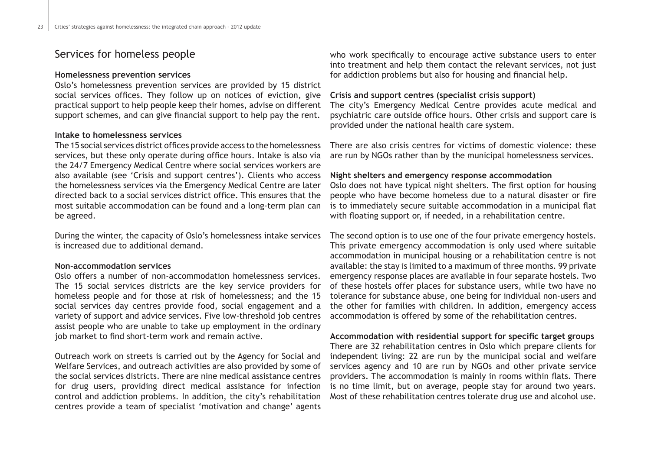## Services for homeless people

#### **Homelessness prevention services**

Oslo's homelessness prevention services are provided by 15 district social services offices. They follow up on notices of eviction, give practical support to help people keep their homes, advise on different support schemes, and can give financial support to help pay the rent.

#### **Intake to homelessness services**

The 15 social services district offices provide access to the homelessness services, but these only operate during office hours. Intake is also via the 24/7 Emergency Medical Centre where social services workers are also available (see 'Crisis and support centres'). Clients who access the homelessness services via the Emergency Medical Centre are later directed back to a social services district office. This ensures that the most suitable accommodation can be found and a long-term plan can be agreed.

During the winter, the capacity of Oslo's homelessness intake services is increased due to additional demand.

#### **Non-accommodation services**

Oslo offers a number of non-accommodation homelessness services. The 15 social services districts are the key service providers for homeless people and for those at risk of homelessness; and the 15 social services day centres provide food, social engagement and a variety of support and advice services. Five low-threshold job centres assist people who are unable to take up employment in the ordinary job market to find short-term work and remain active.

Outreach work on streets is carried out by the Agency for Social and Welfare Services, and outreach activities are also provided by some of the social services districts. There are nine medical assistance centres for drug users, providing direct medical assistance for infection control and addiction problems. In addition, the city's rehabilitation centres provide a team of specialist 'motivation and change' agents

who work specifically to encourage active substance users to enter into treatment and help them contact the relevant services, not just for addiction problems but also for housing and financial help.

#### **Crisis and support centres (specialist crisis support)**

The city's Emergency Medical Centre provides acute medical and psychiatric care outside office hours. Other crisis and support care is provided under the national health care system.

There are also crisis centres for victims of domestic violence: these are run by NGOs rather than by the municipal homelessness services.

#### **Night shelters and emergency response accommodation**

Oslo does not have typical night shelters. The first option for housing people who have become homeless due to a natural disaster or fire is to immediately secure suitable accommodation in a municipal flat with floating support or, if needed, in a rehabilitation centre.

The second option is to use one of the four private emergency hostels. This private emergency accommodation is only used where suitable accommodation in municipal housing or a rehabilitation centre is not available: the stay is limited to a maximum of three months. 99 private emergency response places are available in four separate hostels. Two of these hostels offer places for substance users, while two have no tolerance for substance abuse, one being for individual non-users and the other for families with children. In addition, emergency access accommodation is offered by some of the rehabilitation centres.

#### **Accommodation with residential support for specific target groups**

There are 32 rehabilitation centres in Oslo which prepare clients for independent living: 22 are run by the municipal social and welfare services agency and 10 are run by NGOs and other private service providers. The accommodation is mainly in rooms within flats. There is no time limit, but on average, people stay for around two years. Most of these rehabilitation centres tolerate drug use and alcohol use.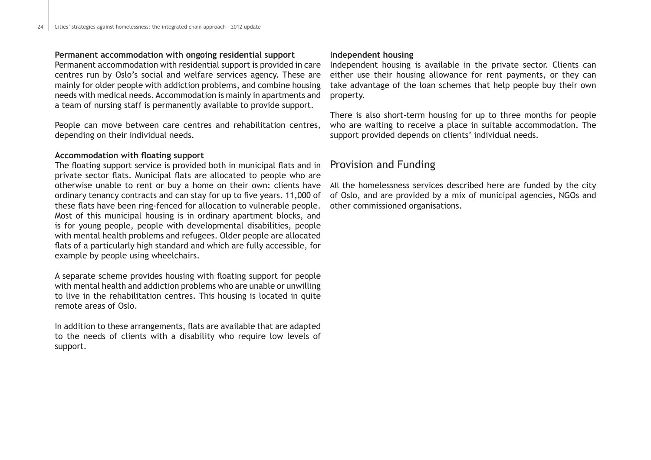#### **Permanent accommodation with ongoing residential support**

Permanent accommodation with residential support is provided in care centres run by Oslo's social and welfare services agency. These are mainly for older people with addiction problems, and combine housing needs with medical needs. Accommodation is mainly in apartments and a team of nursing staff is permanently available to provide support.

People can move between care centres and rehabilitation centres, depending on their individual needs.

#### **Accommodation with floating support**

The floating support service is provided both in municipal flats and in private sector flats. Municipal flats are allocated to people who are otherwise unable to rent or buy a home on their own: clients have ordinary tenancy contracts and can stay for up to five years. 11,000 of these flats have been ring-fenced for allocation to vulnerable people. Most of this municipal housing is in ordinary apartment blocks, and is for young people, people with developmental disabilities, people with mental health problems and refugees. Older people are allocated flats of a particularly high standard and which are fully accessible, for example by people using wheelchairs.

A separate scheme provides housing with floating support for people with mental health and addiction problems who are unable or unwilling to live in the rehabilitation centres. This housing is located in quite remote areas of Oslo.

In addition to these arrangements, flats are available that are adapted to the needs of clients with a disability who require low levels of support.

#### **Independent housing**

Independent housing is available in the private sector. Clients can either use their housing allowance for rent payments, or they can take advantage of the loan schemes that help people buy their own property.

There is also short-term housing for up to three months for people who are waiting to receive a place in suitable accommodation. The support provided depends on clients' individual needs.

### Provision and Funding

All the homelessness services described here are funded by the city of Oslo, and are provided by a mix of municipal agencies, NGOs and other commissioned organisations.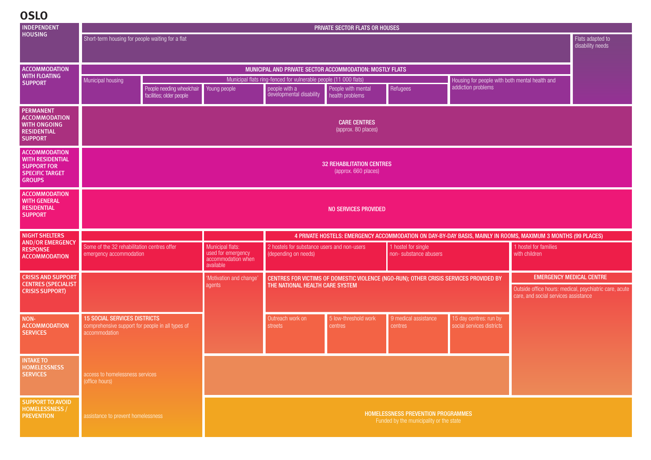**OSLO**

| <b>INDEPENDENT</b>                                                                                               |                                                                                                          |                                                       |                                                                           |                                                                               | PRIVATE SECTOR FLATS OR HOUSES                                                        |                                              |                                                                                                               |                                                                                                |                                      |  |  |  |
|------------------------------------------------------------------------------------------------------------------|----------------------------------------------------------------------------------------------------------|-------------------------------------------------------|---------------------------------------------------------------------------|-------------------------------------------------------------------------------|---------------------------------------------------------------------------------------|----------------------------------------------|---------------------------------------------------------------------------------------------------------------|------------------------------------------------------------------------------------------------|--------------------------------------|--|--|--|
| <b>HOUSING</b>                                                                                                   | Short-term housing for people waiting for a flat                                                         |                                                       |                                                                           |                                                                               |                                                                                       |                                              |                                                                                                               |                                                                                                | Flats adapted to<br>disability needs |  |  |  |
| <b>ACCOMMODATION</b>                                                                                             |                                                                                                          |                                                       |                                                                           |                                                                               | MUNICIPAL AND PRIVATE SECTOR ACCOMMODATION: MOSTLY FLATS                              |                                              |                                                                                                               |                                                                                                |                                      |  |  |  |
| <b>WITH FLOATING</b><br><b>SUPPORT</b>                                                                           | Municipal housing                                                                                        |                                                       |                                                                           | Municipal flats ring-fenced for vulnerable people (11_000 flats)              |                                                                                       |                                              | Housing for people with both mental health and                                                                |                                                                                                |                                      |  |  |  |
|                                                                                                                  |                                                                                                          | People needing wheelchair<br>facilities; older people | Young people                                                              | people with a<br>developmental disability                                     | People with mental<br>health problems                                                 | Refugees                                     | addiction problems                                                                                            |                                                                                                |                                      |  |  |  |
| <b>PERMANENT</b><br><b>ACCOMMODATION</b><br><b>WITH ONGOING</b><br><b>RESIDENTIAL</b><br><b>SUPPORT</b>          |                                                                                                          |                                                       |                                                                           |                                                                               | <b>CARE CENTRES</b><br>(approx. 80 places)                                            |                                              |                                                                                                               |                                                                                                |                                      |  |  |  |
| <b>ACCOMMODATION</b><br><b>WITH RESIDENTIAL</b><br><b>SUPPORT FOR</b><br><b>SPECIFIC TARGET</b><br><b>GROUPS</b> |                                                                                                          |                                                       |                                                                           |                                                                               | <b>32 REHABILITATION CENTRES</b><br>(approx. 660 places)                              |                                              |                                                                                                               |                                                                                                |                                      |  |  |  |
| <b>ACCOMMODATION</b><br><b>WITH GENERAL</b><br><b>RESIDENTIAL</b><br><b>SUPPORT</b>                              |                                                                                                          | NO SERVICES PROVIDED                                  |                                                                           |                                                                               |                                                                                       |                                              |                                                                                                               |                                                                                                |                                      |  |  |  |
| <b>NIGHT SHELTERS</b>                                                                                            |                                                                                                          |                                                       |                                                                           |                                                                               |                                                                                       |                                              | 4 PRIVATE HOSTELS: EMERGENCY ACCOMMODATION ON DAY-BY-DAY BASIS, MAINLY IN ROOMS, MAXIMUM 3 MONTHS (99 PLACES) |                                                                                                |                                      |  |  |  |
| <b>AND/OR EMERGENCY</b><br><b>RESPONSE</b><br><b>ACCOMMODATION</b>                                               | Some of the 32 rehabilitation centres offer<br>emergency accommodation                                   |                                                       | Municipal flats:<br>used for emergency<br>accommodation when<br>available | 2 hostels for substance users and non-users<br>(depending on needs)           |                                                                                       | 1 hostel for single<br>non-substance abusers |                                                                                                               | 1 hostel for families<br>with children                                                         |                                      |  |  |  |
| <b>CRISIS AND SUPPORT</b>                                                                                        |                                                                                                          |                                                       | 'Motivation and change                                                    |                                                                               | CENTRES FOR VICTIMS OF DOMESTIC VIOLENCE (NGO-RUN); OTHER CRISIS SERVICES PROVIDED BY |                                              |                                                                                                               | <b>EMERGENCY MEDICAL CENTRE</b>                                                                |                                      |  |  |  |
| <b>CENTRES (SPECIALIST</b><br><b>CRISIS SUPPORT)</b>                                                             |                                                                                                          |                                                       | agents                                                                    | THE NATIONAL HEALTH CARE SYSTEM                                               |                                                                                       |                                              |                                                                                                               | Outside office hours: medical, psychiatric care, acute<br>care, and social services assistance |                                      |  |  |  |
| NON-<br><b>ACCOMMODATION</b><br><b>SERVICES</b>                                                                  | <b>15 SOCIAL SERVICES DISTRICTS</b><br>comprehensive support for people in all types of<br>accommodation |                                                       |                                                                           | Outreach work on<br>streets                                                   | 5 low-threshold work<br>centres                                                       | 9 medical assistance<br>centres              | 15 day centres: run by<br>social services districts                                                           |                                                                                                |                                      |  |  |  |
| <b>INTAKE TO</b><br><b>HOMELESSNESS</b><br><b>SERVICES</b>                                                       | access to homelessness services<br>(office hours)                                                        |                                                       |                                                                           |                                                                               |                                                                                       |                                              |                                                                                                               |                                                                                                |                                      |  |  |  |
| <b>SUPPORT TO AVOID</b><br><b>HOMELESSNESS/</b><br><b>PREVENTION</b>                                             | assistance to prevent homelessness                                                                       |                                                       |                                                                           | HOMELESSNESS PREVENTION PROGRAMMES<br>Funded by the municipality or the state |                                                                                       |                                              |                                                                                                               |                                                                                                |                                      |  |  |  |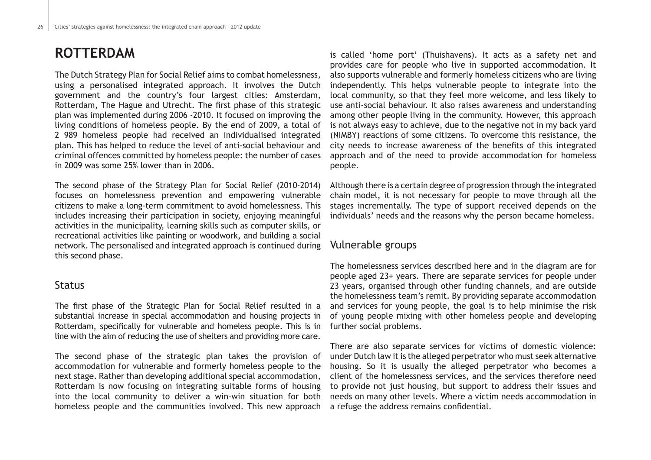# **ROTTERDAM**

The Dutch Strategy Plan for Social Relief aims to combat homelessness, using a personalised integrated approach. It involves the Dutch government and the country's four largest cities: Amsterdam, Rotterdam, The Hague and Utrecht. The first phase of this strategic plan was implemented during 2006 -2010. It focused on improving the living conditions of homeless people. By the end of 2009, a total of 2 989 homeless people had received an individualised integrated plan. This has helped to reduce the level of anti-social behaviour and criminal offences committed by homeless people: the number of cases in 2009 was some 25% lower than in 2006.

The second phase of the Strategy Plan for Social Relief (2010-2014) focuses on homelessness prevention and empowering vulnerable citizens to make a long-term commitment to avoid homelessness. This includes increasing their participation in society, enjoying meaningful activities in the municipality, learning skills such as computer skills, or recreational activities like painting or woodwork, and building a social network. The personalised and integrated approach is continued during this second phase.

### Status

The first phase of the Strategic Plan for Social Relief resulted in a substantial increase in special accommodation and housing projects in Rotterdam, specifically for vulnerable and homeless people. This is in line with the aim of reducing the use of shelters and providing more care.

The second phase of the strategic plan takes the provision of accommodation for vulnerable and formerly homeless people to the next stage. Rather than developing additional special accommodation, Rotterdam is now focusing on integrating suitable forms of housing into the local community to deliver a win-win situation for both homeless people and the communities involved. This new approach

is called 'home port' (Thuishavens). It acts as a safety net and provides care for people who live in supported accommodation. It also supports vulnerable and formerly homeless citizens who are living independently. This helps vulnerable people to integrate into the local community, so that they feel more welcome, and less likely to use anti-social behaviour. It also raises awareness and understanding among other people living in the community. However, this approach is not always easy to achieve, due to the negative not in my back yard (NIMBY) reactions of some citizens. To overcome this resistance, the city needs to increase awareness of the benefits of this integrated approach and of the need to provide accommodation for homeless people.

Although there is a certain degree of progression through the integrated chain model, it is not necessary for people to move through all the stages incrementally. The type of support received depends on the individuals' needs and the reasons why the person became homeless.

## Vulnerable groups

The homelessness services described here and in the diagram are for people aged 23+ years. There are separate services for people under 23 years, organised through other funding channels, and are outside the homelessness team's remit. By providing separate accommodation and services for young people, the goal is to help minimise the risk of young people mixing with other homeless people and developing further social problems.

There are also separate services for victims of domestic violence: under Dutch law it is the alleged perpetrator who must seek alternative housing. So it is usually the alleged perpetrator who becomes a client of the homelessness services, and the services therefore need to provide not just housing, but support to address their issues and needs on many other levels. Where a victim needs accommodation in a refuge the address remains confidential.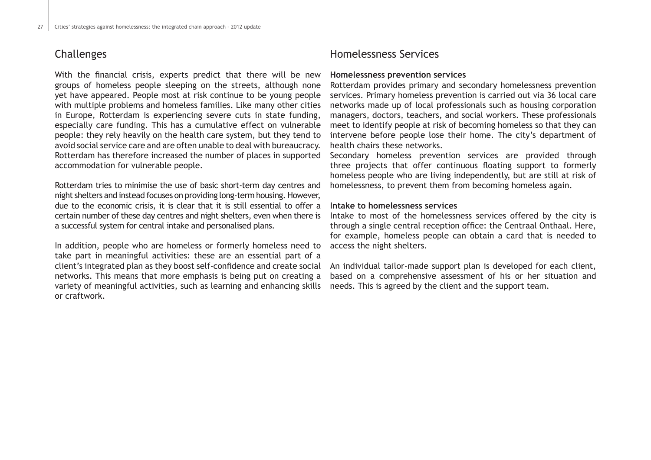### Challenges

With the financial crisis, experts predict that there will be new groups of homeless people sleeping on the streets, although none yet have appeared. People most at risk continue to be young people with multiple problems and homeless families. Like many other cities in Europe, Rotterdam is experiencing severe cuts in state funding, especially care funding. This has a cumulative effect on vulnerable people: they rely heavily on the health care system, but they tend to avoid social service care and are often unable to deal with bureaucracy. Rotterdam has therefore increased the number of places in supported accommodation for vulnerable people.

Rotterdam tries to minimise the use of basic short-term day centres and night shelters and instead focuses on providing long-term housing. However, due to the economic crisis, it is clear that it is still essential to offer a certain number of these day centres and night shelters, even when there is a successful system for central intake and personalised plans.

In addition, people who are homeless or formerly homeless need to take part in meaningful activities: these are an essential part of a client's integrated plan as they boost self-confidence and create social networks. This means that more emphasis is being put on creating a variety of meaningful activities, such as learning and enhancing skills or craftwork.

### Homelessness Services

#### **Homelessness prevention services**

Rotterdam provides primary and secondary homelessness prevention services. Primary homeless prevention is carried out via 36 local care networks made up of local professionals such as housing corporation managers, doctors, teachers, and social workers. These professionals meet to identify people at risk of becoming homeless so that they can intervene before people lose their home. The city's department of health chairs these networks.

Secondary homeless prevention services are provided through three projects that offer continuous floating support to formerly homeless people who are living independently, but are still at risk of homelessness, to prevent them from becoming homeless again.

#### **Intake to homelessness services**

Intake to most of the homelessness services offered by the city is through a single central reception office: the Centraal Onthaal. Here, for example, homeless people can obtain a card that is needed to access the night shelters.

An individual tailor-made support plan is developed for each client, based on a comprehensive assessment of his or her situation and needs. This is agreed by the client and the support team.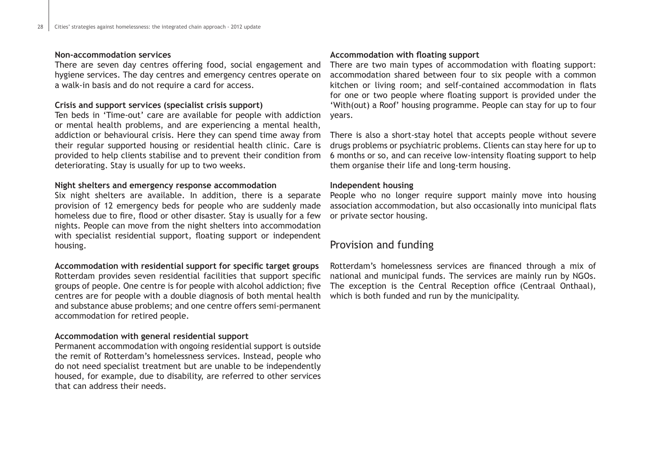#### **Non-accommodation services**

There are seven day centres offering food, social engagement and hygiene services. The day centres and emergency centres operate on a walk-in basis and do not require a card for access.

#### **Crisis and support services (specialist crisis support)**

Ten beds in 'Time-out' care are available for people with addiction or mental health problems, and are experiencing a mental health, addiction or behavioural crisis. Here they can spend time away from their regular supported housing or residential health clinic. Care is provided to help clients stabilise and to prevent their condition from deteriorating. Stay is usually for up to two weeks.

#### **Night shelters and emergency response accommodation**

Six night shelters are available. In addition, there is a separate provision of 12 emergency beds for people who are suddenly made homeless due to fire, flood or other disaster. Stay is usually for a few nights. People can move from the night shelters into accommodation with specialist residential support, floating support or independent housing.

**Accommodation with residential support for specific target groups**  Rotterdam provides seven residential facilities that support specific groups of people. One centre is for people with alcohol addiction; five centres are for people with a double diagnosis of both mental health and substance abuse problems; and one centre offers semi-permanent accommodation for retired people.

#### **Accommodation with general residential support**

Permanent accommodation with ongoing residential support is outside the remit of Rotterdam's homelessness services. Instead, people who do not need specialist treatment but are unable to be independently housed, for example, due to disability, are referred to other services that can address their needs.

#### **Accommodation with floating support**

There are two main types of accommodation with floating support: accommodation shared between four to six people with a common kitchen or living room; and self-contained accommodation in flats for one or two people where floating support is provided under the 'With(out) a Roof' housing programme. People can stay for up to four years.

There is also a short-stay hotel that accepts people without severe drugs problems or psychiatric problems. Clients can stay here for up to 6 months or so, and can receive low-intensity floating support to help them organise their life and long-term housing.

#### **Independent housing**

People who no longer require support mainly move into housing association accommodation, but also occasionally into municipal flats or private sector housing.

## Provision and funding

Rotterdam's homelessness services are financed through a mix of national and municipal funds. The services are mainly run by NGOs. The exception is the Central Reception office (Centraal Onthaal), which is both funded and run by the municipality.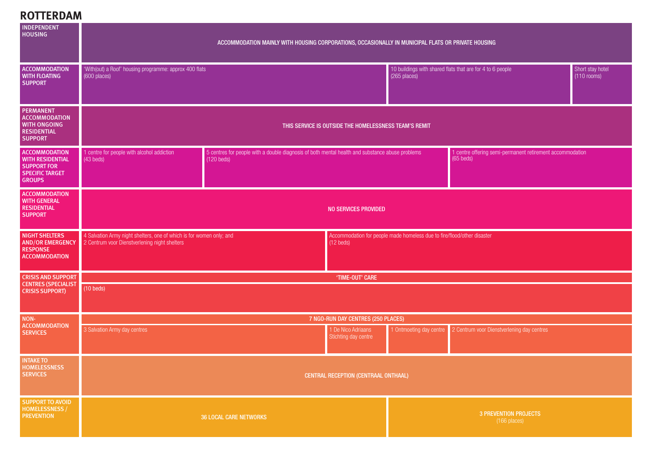# **ROTTERDAM**

| <b>INDEPENDENT</b><br><b>HOUSING</b>                                                                             | ACCOMMODATION MAINLY WITH HOUSING CORPORATIONS, OCCASIONALLY IN MUNICIPAL FLATS OR PRIVATE HOUSING                    |                                                                                                                 |                                                                                        |                                                |                                                                          |                                   |  |  |  |  |
|------------------------------------------------------------------------------------------------------------------|-----------------------------------------------------------------------------------------------------------------------|-----------------------------------------------------------------------------------------------------------------|----------------------------------------------------------------------------------------|------------------------------------------------|--------------------------------------------------------------------------|-----------------------------------|--|--|--|--|
| <b>ACCOMMODATION</b><br><b>WITH FLOATING</b><br><b>SUPPORT</b>                                                   | 'With(out) a Roof' housing programme: approx 400 flats<br>(600 places)                                                |                                                                                                                 |                                                                                        | (265 places)                                   | 10 buildings with shared flats that are for 4 to 6 people                | Short stay hotel<br>$(110$ rooms) |  |  |  |  |
| <b>PERMANENT</b><br><b>ACCOMMODATION</b><br><b>WITH ONGOING</b><br><b>RESIDENTIAL</b><br><b>SUPPORT</b>          | THIS SERVICE IS OUTSIDE THE HOMELESSNESS TEAM'S REMIT                                                                 |                                                                                                                 |                                                                                        |                                                |                                                                          |                                   |  |  |  |  |
| <b>ACCOMMODATION</b><br><b>WITH RESIDENTIAL</b><br><b>SUPPORT FOR</b><br><b>SPECIFIC TARGET</b><br><b>GROUPS</b> | 1 centre for people with alcohol addiction<br>$(43$ beds)                                                             | 5 centres for people with a double diagnosis of both mental health and substance abuse problems<br>$(120$ beds) |                                                                                        |                                                | 1 centre offering semi-permanent retirement accommodation<br>$(65$ beds) |                                   |  |  |  |  |
| <b>ACCOMMODATION</b><br><b>WITH GENERAL</b><br><b>RESIDENTIAL</b><br><b>SUPPORT</b>                              | NO SERVICES PROVIDED                                                                                                  |                                                                                                                 |                                                                                        |                                                |                                                                          |                                   |  |  |  |  |
| <b>NIGHT SHELTERS</b><br><b>AND/OR EMERGENCY</b><br><b>RESPONSE</b><br><b>ACCOMMODATION</b>                      | 4 Salvation Army night shelters, one of which is for women only; and<br>2 Centrum voor Dienstverlening night shelters |                                                                                                                 | Accommodation for people made homeless due to fire/flood/other disaster<br>$(12$ beds) |                                                |                                                                          |                                   |  |  |  |  |
| <b>CRISIS AND SUPPORT</b>                                                                                        | 'TIME-OUT' CARE                                                                                                       |                                                                                                                 |                                                                                        |                                                |                                                                          |                                   |  |  |  |  |
| <b>CENTRES (SPECIALIST</b><br><b>CRISIS SUPPORT)</b>                                                             | $(10$ beds)                                                                                                           |                                                                                                                 |                                                                                        |                                                |                                                                          |                                   |  |  |  |  |
| NON-                                                                                                             |                                                                                                                       |                                                                                                                 | 7 NGO-RUN DAY CENTRES (250 PLACES)                                                     |                                                |                                                                          |                                   |  |  |  |  |
| <b>ACCOMMODATION</b><br><b>SERVICES</b>                                                                          | 3 Salvation Army day centres                                                                                          |                                                                                                                 | 1 De Nico Adriaans<br>Stichting day centre                                             | 1 Ontmoeting day centre                        | 2 Centrum voor Dienstverlening day centres                               |                                   |  |  |  |  |
| <b>INTAKE TO</b><br><b>HOMELESSNESS</b><br><b>SERVICES</b>                                                       |                                                                                                                       |                                                                                                                 | CENTRAL RECEPTION (CENTRAAL ONTHAAL)                                                   |                                                |                                                                          |                                   |  |  |  |  |
| <b>SUPPORT TO AVOID</b><br><b>HOMELESSNESS /</b><br><b>PREVENTION</b>                                            |                                                                                                                       | <b>36 LOCAL CARE NETWORKS</b>                                                                                   |                                                                                        | <b>3 PREVENTION PROJECTS</b><br>$(166$ places) |                                                                          |                                   |  |  |  |  |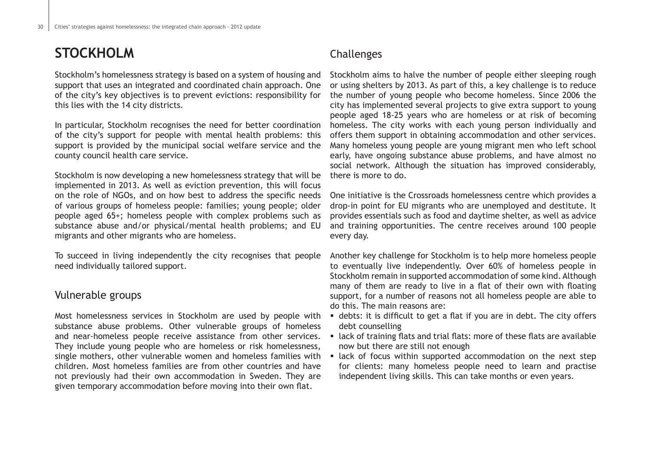# **STOCKHOLM**

Stockholm's homelessness strategy is based on a system of housing and support that uses an integrated and coordinated chain approach. One of the city's key objectives is to prevent evictions: responsibility for this lies with the 14 city districts.

In particular, Stockholm recognises the need for better coordination of the city's support for people with mental health problems: this support is provided by the municipal social welfare service and the county council health care service.

Stockholm is now developing a new homelessness strategy that will be implemented in 2013. As well as eviction prevention, this will focus on the role of NGOs, and on how best to address the specific needs of various groups of homeless people: families; young people; older people aged 65+; homeless people with complex problems such as substance abuse and/or physical/mental health problems; and EU migrants and other migrants who are homeless.

To succeed in living independently the city recognises that people need individually tailored support.

## Vulnerable groups

Most homelessness services in Stockholm are used by people with substance abuse problems. Other vulnerable groups of homeless and near-homeless people receive assistance from other services. They include young people who are homeless or risk homelessness, single mothers, other vulnerable women and homeless families with children. Most homeless families are from other countries and have not previously had their own accommodation in Sweden. They are given temporary accommodation before moving into their own flat.

# Challenges

Stockholm aims to halve the number of people either sleeping rough or using shelters by 2013. As part of this, a key challenge is to reduce the number of young people who become homeless. Since 2006 the city has implemented several projects to give extra support to young people aged 18-25 years who are homeless or at risk of becoming homeless. The city works with each young person individually and offers them support in obtaining accommodation and other services. Many homeless young people are young migrant men who left school early, have ongoing substance abuse problems, and have almost no social network. Although the situation has improved considerably, there is more to do.

One initiative is the Crossroads homelessness centre which provides a drop-in point for EU migrants who are unemployed and destitute. It provides essentials such as food and daytime shelter, as well as advice and training opportunities. The centre receives around 100 people every day.

Another key challenge for Stockholm is to help more homeless people to eventually live independently. Over 60% of homeless people in Stockholm remain in supported accommodation of some kind. Although many of them are ready to live in a flat of their own with floating support, for a number of reasons not all homeless people are able to do this. The main reasons are:

- debts: it is difficult to get a flat if you are in debt. The city offers debt counselling
- lack of training flats and trial flats: more of these flats are available now but there are still not enough
- **Example 1** lack of focus within supported accommodation on the next step for clients: many homeless people need to learn and practise independent living skills. This can take months or even years.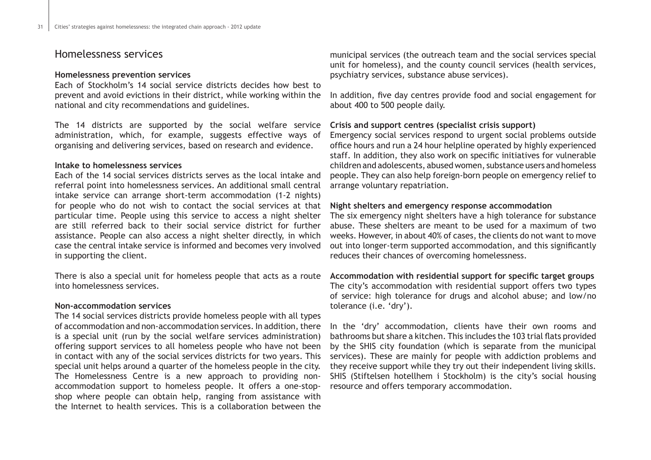### Homelessness services

#### **Homelessness prevention services**

Each of Stockholm's 14 social service districts decides how best to prevent and avoid evictions in their district, while working within the national and city recommendations and guidelines.

The 14 districts are supported by the social welfare service administration, which, for example, suggests effective ways of organising and delivering services, based on research and evidence.

#### **Intake to homelessness services**

Each of the 14 social services districts serves as the local intake and referral point into homelessness services. An additional small central intake service can arrange short-term accommodation (1-2 nights) for people who do not wish to contact the social services at that particular time. People using this service to access a night shelter are still referred back to their social service district for further assistance. People can also access a night shelter directly, in which case the central intake service is informed and becomes very involved in supporting the client.

There is also a special unit for homeless people that acts as a route into homelessness services.

#### **Non-accommodation services**

The 14 social services districts provide homeless people with all types of accommodation and non-accommodation services. In addition, there is a special unit (run by the social welfare services administration) offering support services to all homeless people who have not been in contact with any of the social services districts for two years. This special unit helps around a quarter of the homeless people in the city. The Homelessness Centre is a new approach to providing nonaccommodation support to homeless people. It offers a one-stopshop where people can obtain help, ranging from assistance with the Internet to health services. This is a collaboration between the

municipal services (the outreach team and the social services special unit for homeless), and the county council services (health services, psychiatry services, substance abuse services).

In addition, five day centres provide food and social engagement for about 400 to 500 people daily.

#### **Crisis and support centres (specialist crisis support)**

Emergency social services respond to urgent social problems outside office hours and run a 24 hour helpline operated by highly experienced staff. In addition, they also work on specific initiatives for vulnerable children and adolescents, abused women, substance users and homeless people. They can also help foreign-born people on emergency relief to arrange voluntary repatriation.

#### **Night shelters and emergency response accommodation**

The six emergency night shelters have a high tolerance for substance abuse. These shelters are meant to be used for a maximum of two weeks. However, in about 40% of cases, the clients do not want to move out into longer-term supported accommodation, and this significantly reduces their chances of overcoming homelessness.

**Accommodation with residential support for specific target groups** The city's accommodation with residential support offers two types of service: high tolerance for drugs and alcohol abuse; and low/no tolerance (i.e. 'dry').

In the 'dry' accommodation, clients have their own rooms and bathrooms but share a kitchen. This includes the 103 trial flats provided by the SHIS city foundation (which is separate from the municipal services). These are mainly for people with addiction problems and they receive support while they try out their independent living skills. SHIS (Stiftelsen hotellhem i Stockholm) is the city's social housing resource and offers temporary accommodation.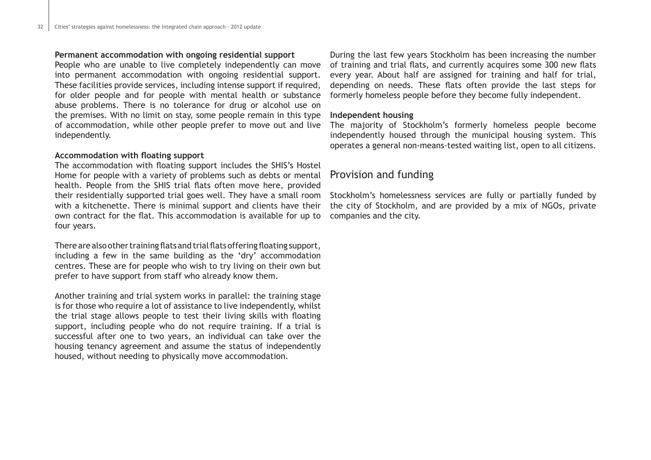#### **Permanent accommodation with ongoing residential support**

People who are unable to live completely independently can move into permanent accommodation with ongoing residential support. These facilities provide services, including intense support if required, for older people and for people with mental health or substance abuse problems. There is no tolerance for drug or alcohol use on the premises. With no limit on stay, some people remain in this type of accommodation, while other people prefer to move out and live independently.

#### **Accommodation with floating support**

The accommodation with floating support includes the SHIS's Hostel Home for people with a variety of problems such as debts or mental health. People from the SHIS trial flats often move here, provided their residentially supported trial goes well. They have a small room with a kitchenette. There is minimal support and clients have their own contract for the flat. This accommodation is available for up to four years.

There are also other training flats and trial flats offering floating support, including a few in the same building as the 'dry' accommodation centres. These are for people who wish to try living on their own but prefer to have support from staff who already know them.

Another training and trial system works in parallel: the training stage is for those who require a lot of assistance to live independently, whilst the trial stage allows people to test their living skills with floating support, including people who do not require training. If a trial is successful after one to two years, an individual can take over the housing tenancy agreement and assume the status of independently housed, without needing to physically move accommodation.

During the last few years Stockholm has been increasing the number of training and trial flats, and currently acquires some 300 new flats every year. About half are assigned for training and half for trial, depending on needs. These flats often provide the last steps for formerly homeless people before they become fully independent.

#### **Independent housing**

The majority of Stockholm's formerly homeless people become independently housed through the municipal housing system. This operates a general non-means-tested waiting list, open to all citizens.

## Provision and funding

Stockholm's homelessness services are fully or partially funded by the city of Stockholm, and are provided by a mix of NGOs, private companies and the city.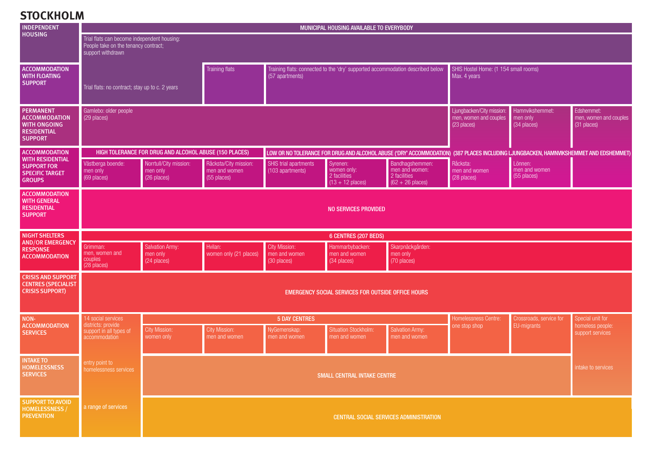# **STOCKHOLM**

| <b>INDEPENDENT</b>                                                                                      |                                                                                                          |                                                        |                                                       |                                                                                                   | MUNICIPAL HOUSING AVAILABLE TO EVERYBODY                      |                                                                                                                                       |                                                                   |                                            |                                                     |  |  |  |  |  |  |
|---------------------------------------------------------------------------------------------------------|----------------------------------------------------------------------------------------------------------|--------------------------------------------------------|-------------------------------------------------------|---------------------------------------------------------------------------------------------------|---------------------------------------------------------------|---------------------------------------------------------------------------------------------------------------------------------------|-------------------------------------------------------------------|--------------------------------------------|-----------------------------------------------------|--|--|--|--|--|--|
| <b>HOUSING</b>                                                                                          | Trial flats can become independent housing:<br>People take on the tenancy contract;<br>support withdrawn |                                                        |                                                       |                                                                                                   |                                                               |                                                                                                                                       |                                                                   |                                            |                                                     |  |  |  |  |  |  |
| <b>ACCOMMODATION</b><br><b>WITH FLOATING</b><br><b>SUPPORT</b>                                          | Trial flats: no contract; stay up to c. 2 years                                                          |                                                        | Training flats                                        | Training flats: connected to the 'dry' supported accommodation described below<br>(57 apartments) |                                                               |                                                                                                                                       | SHIS Hostel Home: (1 154 small rooms)<br>Max. 4 years             |                                            |                                                     |  |  |  |  |  |  |
| <b>PERMANENT</b><br><b>ACCOMMODATION</b><br><b>WITH ONGOING</b><br><b>RESIDENTIAL</b><br><b>SUPPORT</b> | Gamlebo: older people<br>(29 places)                                                                     |                                                        |                                                       |                                                                                                   |                                                               |                                                                                                                                       | Ljungbacken/City mission<br>men, women and couples<br>(23 places) | Hamnvikshemmet:<br>men only<br>(34 places) | Edshemmet:<br>men, women and couples<br>(31 places) |  |  |  |  |  |  |
| <b>ACCOMMODATION</b>                                                                                    |                                                                                                          | HIGH TOLERANCE FOR DRUG AND ALCOHOL ABUSE (150 PLACES) |                                                       |                                                                                                   |                                                               | LOW OR NO TOLERANCE FOR DRUG AND ALCOHOL ABUSE ('DRY' ACCOMMODATION) (387 PLACES INCLUDING LJUNGBACKEN, HAMNVIKSHEMMET AND EDSHEMMET) |                                                                   |                                            |                                                     |  |  |  |  |  |  |
| <b>WITH RESIDENTIAL</b><br><b>SUPPORT FOR</b><br><b>SPECIFIC TARGET</b><br><b>GROUPS</b>                | Västberga boende:<br>men only<br>(69 places)                                                             | Norrtull/City mission:<br>men only<br>(26 places)      | Råcksta/City mission:<br>men and women<br>(55 places) | <b>SHIS</b> trial apartments<br>(103 apartments)                                                  | Syrenen:<br>women only:<br>2 facilities<br>$(13 + 12$ places) | Bandhagshemmen:<br>men and women:<br>2 facilities<br>$(62 + 26$ places)                                                               | Råcksta:<br>men and women<br>(28 places)                          | Lönnen:<br>men and women<br>$(55$ places)  |                                                     |  |  |  |  |  |  |
| <b>ACCOMMODATION</b><br><b>WITH GENERAL</b><br><b>RESIDENTIAL</b><br><b>SUPPORT</b>                     | <b>NO SERVICES PROVIDED</b>                                                                              |                                                        |                                                       |                                                                                                   |                                                               |                                                                                                                                       |                                                                   |                                            |                                                     |  |  |  |  |  |  |
| <b>NIGHT SHELTERS</b>                                                                                   | 6 CENTRES (207 BEDS)                                                                                     |                                                        |                                                       |                                                                                                   |                                                               |                                                                                                                                       |                                                                   |                                            |                                                     |  |  |  |  |  |  |
| <b>AND/OR EMERGENCY</b><br><b>RESPONSE</b><br><b>ACCOMMODATION</b>                                      | Grimman:<br>men, women and<br>couples<br>(28 places)                                                     | <b>Salvation Army:</b><br>men only<br>(24 places)      | Hvilan:<br>women only (21 places)                     | <b>City Mission:</b><br>men and women<br>(30 places)                                              | Hammarbybacken:<br>men and women<br>(34 places)               | Skarpnäckgården:<br>men only<br>(70 places)                                                                                           |                                                                   |                                            |                                                     |  |  |  |  |  |  |
| <b>CRISIS AND SUPPORT</b><br><b>CENTRES (SPECIALIST</b><br><b>CRISIS SUPPORT)</b>                       |                                                                                                          |                                                        |                                                       |                                                                                                   | <b>EMERGENCY SOCIAL SERVICES FOR OUTSIDE OFFICE HOURS</b>     |                                                                                                                                       |                                                                   |                                            |                                                     |  |  |  |  |  |  |
| NON-                                                                                                    | 14 social services                                                                                       |                                                        |                                                       | <b>5 DAY CENTRES</b>                                                                              |                                                               |                                                                                                                                       | Homelessness Centre:                                              | Crossroads, service for                    | Special unit for                                    |  |  |  |  |  |  |
| <b>ACCOMMODATION</b><br><b>SERVICES</b>                                                                 | districts: provide<br>support in all types of<br>accommodation                                           | City Mission:<br>women only                            | <b>City Mission:</b><br>men and women                 | NyGemenskap:<br>men and women                                                                     | <b>Situation Stockholm:</b><br>men and women                  | <b>Salvation Army:</b><br>men and women                                                                                               | one stop shop                                                     | EU-migrants                                | homeless people:<br>support services                |  |  |  |  |  |  |
| <b>INTAKE TO</b><br><b>HOMELESSNESS</b><br><b>SERVICES</b>                                              | entry point to<br>homelessness services                                                                  | SMALL CENTRAL INTAKE CENTRE                            |                                                       |                                                                                                   |                                                               |                                                                                                                                       |                                                                   |                                            | itake to services                                   |  |  |  |  |  |  |
| <b>SUPPORT TO AVOID</b><br><b>HOMELESSNESS /</b><br><b>PREVENTION</b>                                   | a range of services                                                                                      |                                                        |                                                       |                                                                                                   | <b>CENTRAL SOCIAL SERVICES ADMINISTRATION</b>                 |                                                                                                                                       |                                                                   |                                            |                                                     |  |  |  |  |  |  |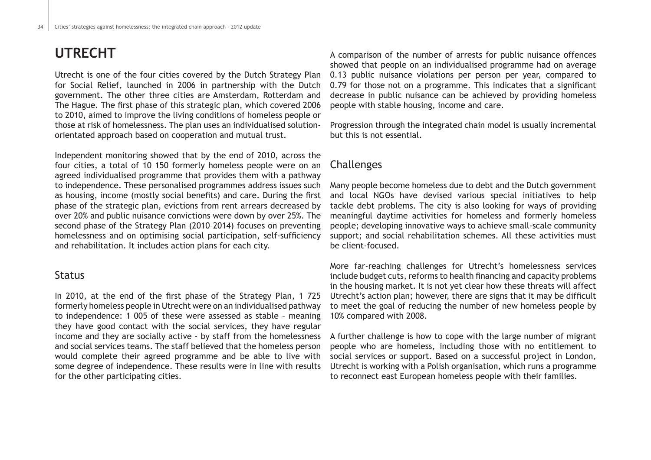# **UTRECHT**

Utrecht is one of the four cities covered by the Dutch Strategy Plan for Social Relief, launched in 2006 in partnership with the Dutch government. The other three cities are Amsterdam, Rotterdam and The Hague. The first phase of this strategic plan, which covered 2006 to 2010, aimed to improve the living conditions of homeless people or those at risk of homelessness. The plan uses an individualised solutionorientated approach based on cooperation and mutual trust.

Independent monitoring showed that by the end of 2010, across the four cities, a total of 10 150 formerly homeless people were on an agreed individualised programme that provides them with a pathway to independence. These personalised programmes address issues such as housing, income (mostly social benefits) and care. During the first phase of the strategic plan, evictions from rent arrears decreased by over 20% and public nuisance convictions were down by over 25%. The second phase of the Strategy Plan (2010–2014) focuses on preventing homelessness and on optimising social participation, self-sufficiency and rehabilitation. It includes action plans for each city.

## Status

In 2010, at the end of the first phase of the Strategy Plan, 1 725 formerly homeless people in Utrecht were on an individualised pathway to independence: 1 005 of these were assessed as stable – meaning they have good contact with the social services, they have regular income and they are socially active - by staff from the homelessness and social services teams. The staff believed that the homeless person would complete their agreed programme and be able to live with some degree of independence. These results were in line with results for the other participating cities.

A comparison of the number of arrests for public nuisance offences showed that people on an individualised programme had on average 0.13 public nuisance violations per person per year, compared to 0.79 for those not on a programme. This indicates that a significant decrease in public nuisance can be achieved by providing homeless people with stable housing, income and care.

Progression through the integrated chain model is usually incremental but this is not essential.

# Challenges

Many people become homeless due to debt and the Dutch government and local NGOs have devised various special initiatives to help tackle debt problems. The city is also looking for ways of providing meaningful daytime activities for homeless and formerly homeless people; developing innovative ways to achieve small-scale community support; and social rehabilitation schemes. All these activities must be client-focused.

More far-reaching challenges for Utrecht's homelessness services include budget cuts, reforms to health financing and capacity problems in the housing market. It is not yet clear how these threats will affect Utrecht's action plan; however, there are signs that it may be difficult to meet the goal of reducing the number of new homeless people by 10% compared with 2008.

A further challenge is how to cope with the large number of migrant people who are homeless, including those with no entitlement to social services or support. Based on a successful project in London, Utrecht is working with a Polish organisation, which runs a programme to reconnect east European homeless people with their families.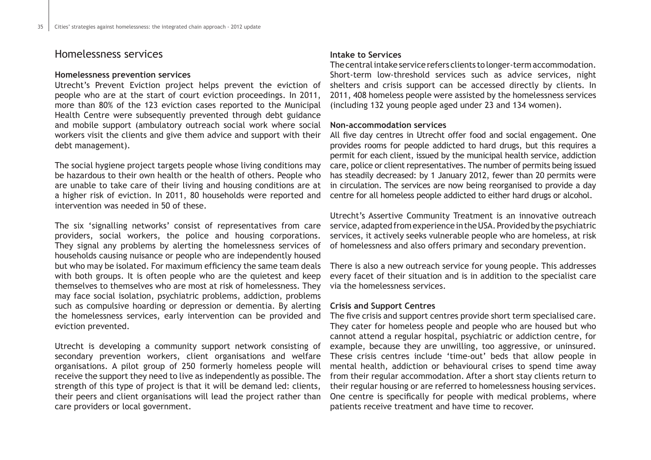### Homelessness services

#### **Homelessness prevention services**

Utrecht's Prevent Eviction project helps prevent the eviction of people who are at the start of court eviction proceedings. In 2011, more than 80% of the 123 eviction cases reported to the Municipal Health Centre were subsequently prevented through debt guidance and mobile support (ambulatory outreach social work where social workers visit the clients and give them advice and support with their debt management).

The social hygiene project targets people whose living conditions may be hazardous to their own health or the health of others. People who are unable to take care of their living and housing conditions are at a higher risk of eviction. In 2011, 80 households were reported and intervention was needed in 50 of these.

The six 'signalling networks' consist of representatives from care providers, social workers, the police and housing corporations. They signal any problems by alerting the homelessness services of households causing nuisance or people who are independently housed but who may be isolated. For maximum efficiency the same team deals with both groups. It is often people who are the quietest and keep themselves to themselves who are most at risk of homelessness. They may face social isolation, psychiatric problems, addiction, problems such as compulsive hoarding or depression or dementia. By alerting the homelessness services, early intervention can be provided and eviction prevented.

Utrecht is developing a community support network consisting of secondary prevention workers, client organisations and welfare organisations. A pilot group of 250 formerly homeless people will receive the support they need to live as independently as possible. The strength of this type of project is that it will be demand led: clients, their peers and client organisations will lead the project rather than care providers or local government.

#### **Intake to Services**

The central intake service refers clients to longer-term accommodation. Short-term low-threshold services such as advice services, night shelters and crisis support can be accessed directly by clients. In 2011, 408 homeless people were assisted by the homelessness services (including 132 young people aged under 23 and 134 women).

#### **Non-accommodation services**

All five day centres in Utrecht offer food and social engagement. One provides rooms for people addicted to hard drugs, but this requires a permit for each client, issued by the municipal health service, addiction care, police or client representatives. The number of permits being issued has steadily decreased: by 1 January 2012, fewer than 20 permits were in circulation. The services are now being reorganised to provide a day centre for all homeless people addicted to either hard drugs or alcohol.

Utrecht's Assertive Community Treatment is an innovative outreach service, adapted from experience in the USA. Provided by the psychiatric services, it actively seeks vulnerable people who are homeless, at risk of homelessness and also offers primary and secondary prevention.

There is also a new outreach service for young people. This addresses every facet of their situation and is in addition to the specialist care via the homelessness services.

#### **Crisis and Support Centres**

The five crisis and support centres provide short term specialised care. They cater for homeless people and people who are housed but who cannot attend a regular hospital, psychiatric or addiction centre, for example, because they are unwilling, too aggressive, or uninsured. These crisis centres include 'time-out' beds that allow people in mental health, addiction or behavioural crises to spend time away from their regular accommodation. After a short stay clients return to their regular housing or are referred to homelessness housing services. One centre is specifically for people with medical problems, where patients receive treatment and have time to recover.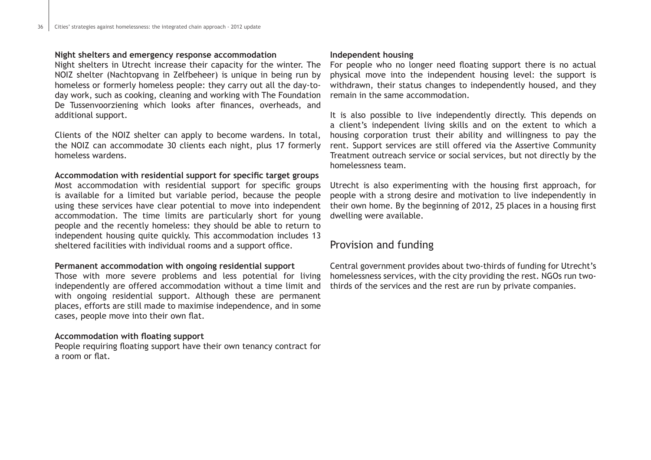#### **Night shelters and emergency response accommodation**

Night shelters in Utrecht increase their capacity for the winter. The NOIZ shelter (Nachtopvang in Zelfbeheer) is unique in being run by homeless or formerly homeless people: they carry out all the day-today work, such as cooking, cleaning and working with The Foundation De Tussenvoorziening which looks after finances, overheads, and additional support.

Clients of the NOIZ shelter can apply to become wardens. In total, the NOIZ can accommodate 30 clients each night, plus 17 formerly homeless wardens.

#### **Accommodation with residential support for specific target groups**

Most accommodation with residential support for specific groups is available for a limited but variable period, because the people using these services have clear potential to move into independent accommodation. The time limits are particularly short for young people and the recently homeless: they should be able to return to independent housing quite quickly. This accommodation includes 13 sheltered facilities with individual rooms and a support office.

#### **Permanent accommodation with ongoing residential support**

Those with more severe problems and less potential for living independently are offered accommodation without a time limit and with ongoing residential support. Although these are permanent places, efforts are still made to maximise independence, and in some cases, people move into their own flat.

#### **Accommodation with floating support**

People requiring floating support have their own tenancy contract for a room or flat.

#### **Independent housing**

For people who no longer need floating support there is no actual physical move into the independent housing level: the support is withdrawn, their status changes to independently housed, and they remain in the same accommodation.

It is also possible to live independently directly. This depends on a client's independent living skills and on the extent to which a housing corporation trust their ability and willingness to pay the rent. Support services are still offered via the Assertive Community Treatment outreach service or social services, but not directly by the homelessness team.

Utrecht is also experimenting with the housing first approach, for people with a strong desire and motivation to live independently in their own home. By the beginning of 2012, 25 places in a housing first dwelling were available.

## Provision and funding

Central government provides about two-thirds of funding for Utrecht's homelessness services, with the city providing the rest. NGOs run twothirds of the services and the rest are run by private companies.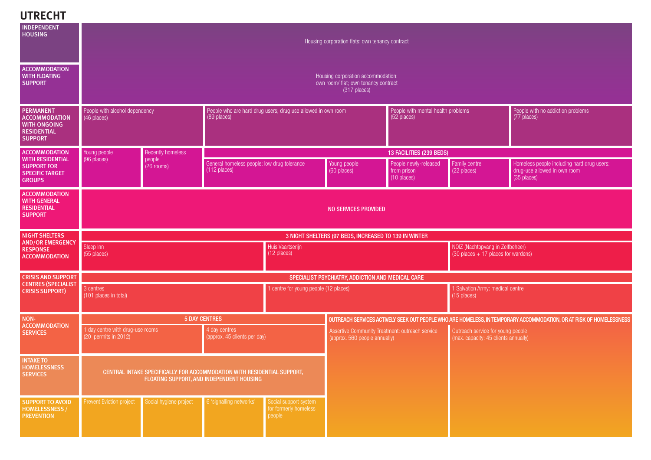**UTRECHT**

| <b>INDEPENDENT</b><br><b>HOUSING</b>                                                                             |                                                                                            | Housing corporation flats: own tenancy contract  |                                                                                                                      |                                                                                                                              |                                                                                  |                                                                                 |                                                                           |                                                                                                                     |  |  |  |
|------------------------------------------------------------------------------------------------------------------|--------------------------------------------------------------------------------------------|--------------------------------------------------|----------------------------------------------------------------------------------------------------------------------|------------------------------------------------------------------------------------------------------------------------------|----------------------------------------------------------------------------------|---------------------------------------------------------------------------------|---------------------------------------------------------------------------|---------------------------------------------------------------------------------------------------------------------|--|--|--|
| <b>ACCOMMODATION</b><br><b>WITH FLOATING</b><br><b>SUPPORT</b>                                                   | Housing corporation accommodation:<br>own room/ flat; own tenancy contract<br>(317 places) |                                                  |                                                                                                                      |                                                                                                                              |                                                                                  |                                                                                 |                                                                           |                                                                                                                     |  |  |  |
| PERMANENT<br><b>ACCOMMODATION</b><br><b>WITH ONGOING</b><br><b>RESIDENTIAL</b><br><b>SUPPORT</b>                 | People with alcohol dependency<br>(89 places)<br>(46 places)                               |                                                  |                                                                                                                      | People who are hard drug users; drug use allowed in own room<br>People with mental health problems<br>$(52 \nvert )$ places) |                                                                                  |                                                                                 |                                                                           | People with no addiction problems<br>(77 places)                                                                    |  |  |  |
| <b>ACCOMMODATION</b><br><b>WITH RESIDENTIAL</b><br><b>SUPPORT FOR</b><br><b>SPECIFIC TARGET</b><br><b>GROUPS</b> | Young people<br>(96 places)                                                                | <b>Recently homeless</b><br>people<br>(26 rooms) | General homeless people: low drug tolerance<br>$(112 \text{ places})$                                                |                                                                                                                              | Young people<br>(60 places)                                                      | 13 FACILITIES (239 BEDS)<br>People newly-released<br>from prison<br>(10 places) | Family centre<br>(22 places)                                              | Homeless people including hard drug users:<br>drug-use allowed in own room<br>(35 places)                           |  |  |  |
| <b>ACCOMMODATION</b><br><b>WITH GENERAL</b><br><b>RESIDENTIAL</b><br><b>SUPPORT</b>                              | NO SERVICES PROVIDED                                                                       |                                                  |                                                                                                                      |                                                                                                                              |                                                                                  |                                                                                 |                                                                           |                                                                                                                     |  |  |  |
| <b>NIGHT SHELTERS</b>                                                                                            |                                                                                            |                                                  |                                                                                                                      |                                                                                                                              | 3 NIGHT SHELTERS (97 BEDS, INCREASED TO 139 IN WINTER                            |                                                                                 |                                                                           |                                                                                                                     |  |  |  |
| <b>AND/OR EMERGENCY</b><br><b>RESPONSE</b><br><b>ACCOMMODATION</b>                                               | Sleep Inn<br>(55 places)                                                                   | Huis Vaartserijn<br>(12 places)                  |                                                                                                                      |                                                                                                                              |                                                                                  |                                                                                 |                                                                           | NOIZ (Nachtopvang in Zelfbeheer)<br>$(30 \text{ places} + 17 \text{ places}$ for wardens)                           |  |  |  |
| <b>CRISIS AND SUPPORT</b>                                                                                        | SPECIALIST PSYCHIATRY, ADDICTION AND MEDICAL CARE                                          |                                                  |                                                                                                                      |                                                                                                                              |                                                                                  |                                                                                 |                                                                           |                                                                                                                     |  |  |  |
| <b>CENTRES (SPECIALIST</b><br><b>CRISIS SUPPORT)</b>                                                             | 3 centres<br>(101 places in total)                                                         |                                                  |                                                                                                                      | 1 centre for young people (12 places)                                                                                        |                                                                                  |                                                                                 | 1 Salvation Army: medical centre<br>(15 places)                           |                                                                                                                     |  |  |  |
| NON-                                                                                                             |                                                                                            | <b>5 DAY CENTRES</b>                             |                                                                                                                      |                                                                                                                              |                                                                                  |                                                                                 |                                                                           | OUTREACH SERVICES ACTIVELY SEEK OUT PEOPLE WHO ARE HOMELESS, IN TEMPORARY ACCOMMODATION, OR AT RISK OF HOMELESSNESS |  |  |  |
| <b>ACCOMMODATION</b><br><b>SERVICES</b>                                                                          | 1 day centre with drug-use rooms<br>(20 permits in 2012)                                   |                                                  | 4 day centres<br>(approx. 45 clients per day)                                                                        |                                                                                                                              | Assertive Community Treatment: outreach service<br>(approx. 560 people annually) |                                                                                 | Outreach service for young people<br>(max. capacity: 45 clients annually) |                                                                                                                     |  |  |  |
| <b>INTAKE TO</b><br><b>HOMELESSNESS</b><br><b>SERVICES</b>                                                       |                                                                                            |                                                  | CENTRAL INTAKE SPECIFICALLY FOR ACCOMMODATION WITH RESIDENTIAL SUPPORT,<br>FLOATING SUPPORT, AND INDEPENDENT HOUSING |                                                                                                                              |                                                                                  |                                                                                 |                                                                           |                                                                                                                     |  |  |  |
| <b>SUPPORT TO AVOID</b><br>HOMELESSNESS /<br><b>PREVENTION</b>                                                   | Prevent Eviction project                                                                   | Social hygiene project                           | 6 'signalling networks'                                                                                              | Social support system<br>for formerly homeless<br>people                                                                     |                                                                                  |                                                                                 |                                                                           |                                                                                                                     |  |  |  |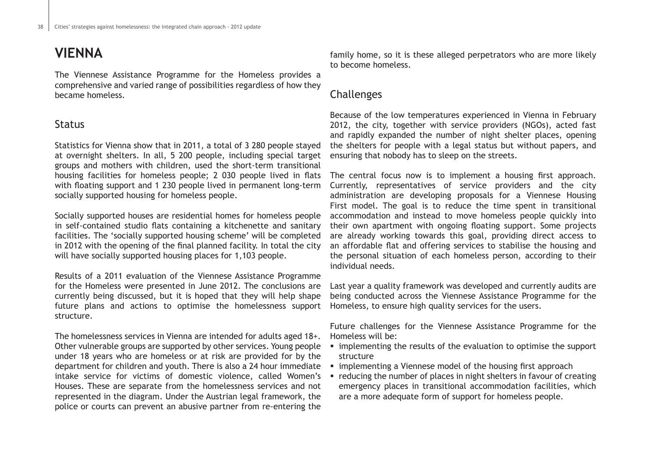# **VIENNA**

The Viennese Assistance Programme for the Homeless provides a comprehensive and varied range of possibilities regardless of how they became homeless.

# Status

Statistics for Vienna show that in 2011, a total of 3 280 people stayed at overnight shelters. In all, 5 200 people, including special target groups and mothers with children, used the short-term transitional housing facilities for homeless people; 2 030 people lived in flats with floating support and 1 230 people lived in permanent long-term socially supported housing for homeless people.

Socially supported houses are residential homes for homeless people in self-contained studio flats containing a kitchenette and sanitary facilities. The 'socially supported housing scheme' will be completed in 2012 with the opening of the final planned facility. In total the city will have socially supported housing places for 1,103 people.

Results of a 2011 evaluation of the Viennese Assistance Programme for the Homeless were presented in June 2012. The conclusions are currently being discussed, but it is hoped that they will help shape future plans and actions to optimise the homelessness support structure.

The homelessness services in Vienna are intended for adults aged 18+. Other vulnerable groups are supported by other services. Young people under 18 years who are homeless or at risk are provided for by the department for children and youth. There is also a 24 hour immediate intake service for victims of domestic violence, called Women's Houses. These are separate from the homelessness services and not represented in the diagram. Under the Austrian legal framework, the police or courts can prevent an abusive partner from re-entering the

family home, so it is these alleged perpetrators who are more likely to become homeless.

## Challenges

Because of the low temperatures experienced in Vienna in February 2012, the city, together with service providers (NGOs), acted fast and rapidly expanded the number of night shelter places, opening the shelters for people with a legal status but without papers, and ensuring that nobody has to sleep on the streets.

The central focus now is to implement a housing first approach. Currently, representatives of service providers and the city administration are developing proposals for a Viennese Housing First model. The goal is to reduce the time spent in transitional accommodation and instead to move homeless people quickly into their own apartment with ongoing floating support. Some projects are already working towards this goal, providing direct access to an affordable flat and offering services to stabilise the housing and the personal situation of each homeless person, according to their individual needs.

Last year a quality framework was developed and currently audits are being conducted across the Viennese Assistance Programme for the Homeless, to ensure high quality services for the users.

Future challenges for the Viennese Assistance Programme for the Homeless will be:

- implementing the results of the evaluation to optimise the support structure
- implementing a Viennese model of the housing first approach
- reducing the number of places in night shelters in favour of creating emergency places in transitional accommodation facilities, which are a more adequate form of support for homeless people.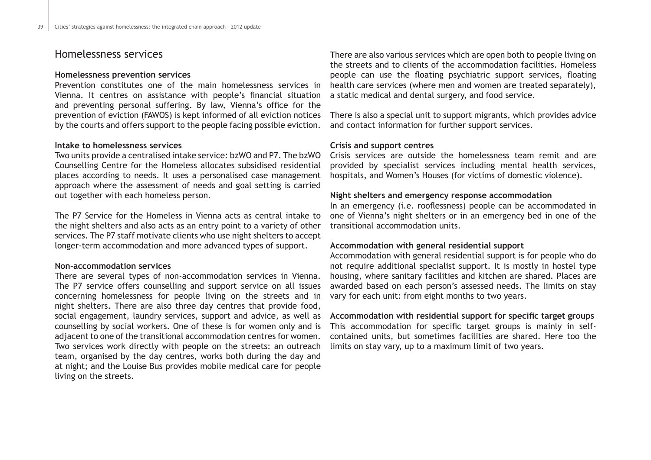### Homelessness services

#### **Homelessness prevention services**

Prevention constitutes one of the main homelessness services in Vienna. It centres on assistance with people's financial situation and preventing personal suffering. By law, Vienna's office for the prevention of eviction (FAWOS) is kept informed of all eviction notices by the courts and offers support to the people facing possible eviction.

#### **Intake to homelessness services**

Two units provide a centralised intake service: bzWO and P7. The bzWO Counselling Centre for the Homeless allocates subsidised residential places according to needs. It uses a personalised case management approach where the assessment of needs and goal setting is carried out together with each homeless person.

The P7 Service for the Homeless in Vienna acts as central intake to the night shelters and also acts as an entry point to a variety of other services. The P7 staff motivate clients who use night shelters to accept longer-term accommodation and more advanced types of support.

#### **Non-accommodation services**

There are several types of non-accommodation services in Vienna. The P7 service offers counselling and support service on all issues concerning homelessness for people living on the streets and in night shelters. There are also three day centres that provide food, social engagement, laundry services, support and advice, as well as counselling by social workers. One of these is for women only and is adjacent to one of the transitional accommodation centres for women. Two services work directly with people on the streets: an outreach team, organised by the day centres, works both during the day and at night; and the Louise Bus provides mobile medical care for people living on the streets.

There are also various services which are open both to people living on the streets and to clients of the accommodation facilities. Homeless people can use the floating psychiatric support services, floating health care services (where men and women are treated separately), a static medical and dental surgery, and food service.

There is also a special unit to support migrants, which provides advice and contact information for further support services.

#### **Crisis and support centres**

Crisis services are outside the homelessness team remit and are provided by specialist services including mental health services, hospitals, and Women's Houses (for victims of domestic violence).

#### **Night shelters and emergency response accommodation**

In an emergency (i.e. rooflessness) people can be accommodated in one of Vienna's night shelters or in an emergency bed in one of the transitional accommodation units.

#### **Accommodation with general residential support**

Accommodation with general residential support is for people who do not require additional specialist support. It is mostly in hostel type housing, where sanitary facilities and kitchen are shared. Places are awarded based on each person's assessed needs. The limits on stay vary for each unit: from eight months to two years.

## **Accommodation with residential support for specific target groups**

This accommodation for specific target groups is mainly in selfcontained units, but sometimes facilities are shared. Here too the limits on stay vary, up to a maximum limit of two years.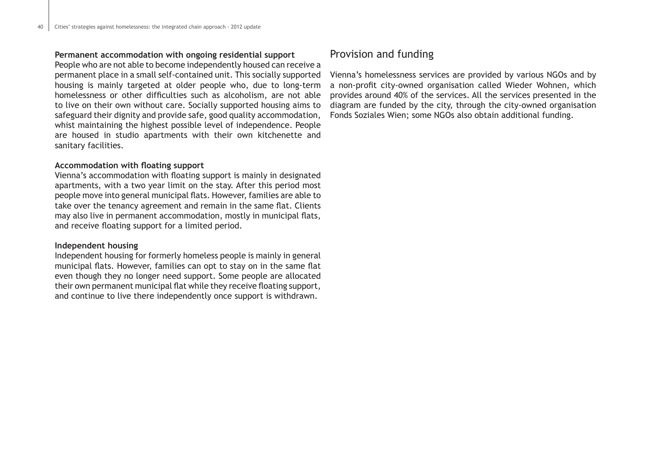#### **Permanent accommodation with ongoing residential support**

People who are not able to become independently housed can receive a permanent place in a small self-contained unit. This socially supported housing is mainly targeted at older people who, due to long-term homelessness or other difficulties such as alcoholism, are not able to live on their own without care. Socially supported housing aims to safeguard their dignity and provide safe, good quality accommodation, whist maintaining the highest possible level of independence. People are housed in studio apartments with their own kitchenette and sanitary facilities.

#### **Accommodation with floating support**

Vienna's accommodation with floating support is mainly in designated apartments, with a two year limit on the stay. After this period most people move into general municipal flats. However, families are able to take over the tenancy agreement and remain in the same flat. Clients may also live in permanent accommodation, mostly in municipal flats, and receive floating support for a limited period.

#### **Independent housing**

Independent housing for formerly homeless people is mainly in general municipal flats. However, families can opt to stay on in the same flat even though they no longer need support. Some people are allocated their own permanent municipal flat while they receive floating support, and continue to live there independently once support is withdrawn.

# Provision and funding

Vienna's homelessness services are provided by various NGOs and by a non-profit city-owned organisation called Wieder Wohnen, which provides around 40% of the services. All the services presented in the diagram are funded by the city, through the city-owned organisation Fonds Soziales Wien; some NGOs also obtain additional funding.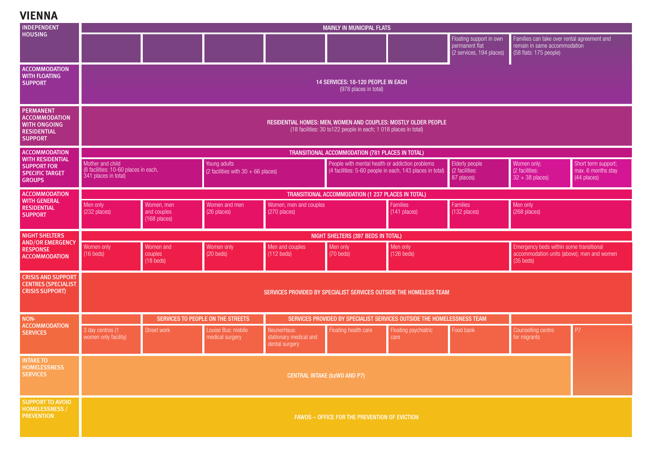**VIENNA**

| <b>INDEPENDENT</b>                                                                                      |                                                                                  |                                                    |                                                      |                                                         | MAINLY IN MUNICIPAL FLATS                                        |                                                                                                                                                               |                                                                       |                                                                                                       |                                                          |  |  |  |
|---------------------------------------------------------------------------------------------------------|----------------------------------------------------------------------------------|----------------------------------------------------|------------------------------------------------------|---------------------------------------------------------|------------------------------------------------------------------|---------------------------------------------------------------------------------------------------------------------------------------------------------------|-----------------------------------------------------------------------|-------------------------------------------------------------------------------------------------------|----------------------------------------------------------|--|--|--|
| <b>HOUSING</b>                                                                                          |                                                                                  |                                                    |                                                      |                                                         |                                                                  |                                                                                                                                                               | Floating support in own<br>permanent flat<br>(2 services, 194 places) | Families can take over rental agreement and<br>remain in same accommodation<br>(58 flats: 175 people) |                                                          |  |  |  |
| <b>ACCOMMODATION</b><br><b>WITH FLOATING</b><br><b>SUPPORT</b>                                          |                                                                                  |                                                    |                                                      |                                                         | 14 SERVICES: 18-120 PEOPLE IN EACH<br>(978 places in total)      |                                                                                                                                                               |                                                                       |                                                                                                       |                                                          |  |  |  |
| <b>PERMANENT</b><br><b>ACCOMMODATION</b><br><b>WITH ONGOING</b><br><b>RESIDENTIAL</b><br><b>SUPPORT</b> |                                                                                  |                                                    |                                                      |                                                         | (18 facilities: 30 to 122 people in each; 1 018 places in total) | RESIDENTIAL HOMES: MEN, WOMEN AND COUPLES: MOSTLY OLDER PEOPLE                                                                                                |                                                                       |                                                                                                       |                                                          |  |  |  |
| <b>ACCOMMODATION</b>                                                                                    | TRANSITIONAL ACCOMMODATION (781 PLACES IN TOTAL)                                 |                                                    |                                                      |                                                         |                                                                  |                                                                                                                                                               |                                                                       |                                                                                                       |                                                          |  |  |  |
| <b>WITH RESIDENTIAL</b><br><b>SUPPORT FOR</b><br><b>SPECIFIC TARGET</b><br><b>GROUPS</b>                | Mother and child<br>(8 facilities: 10-60 places in each,<br>341 places in total) |                                                    | Young adults<br>(2 facilities with $30 + 66$ places) |                                                         |                                                                  | People with mental health or addiction problems<br>Elderly people<br>(2 facilities:<br>(4 facilities: 5-60 people in each, 143 places in total)<br>87 places) |                                                                       | Women only;<br>(2 facilities:<br>$32 + 38$ places)                                                    | Short term support;<br>max. 6 months stay<br>(44 places) |  |  |  |
| <b>ACCOMMODATION</b>                                                                                    |                                                                                  | TRANSITIONAL ACCOMMODATION (1 237 PLACES IN TOTAL) |                                                      |                                                         |                                                                  |                                                                                                                                                               |                                                                       |                                                                                                       |                                                          |  |  |  |
| <b>WITH GENERAL</b><br><b>RESIDENTIAL</b><br><b>SUPPORT</b>                                             | Men only<br>(232 places)                                                         | Women, men<br>and couples<br>$(168$ places)        | Women and men<br>(26 places)                         | Women, men and couples<br>(270 places)                  |                                                                  | Families<br>(141 places)                                                                                                                                      | Families<br>(132 places)                                              | Men only<br>(268 places)                                                                              |                                                          |  |  |  |
| NIGHT SHELTERS                                                                                          | NIGHT SHELTERS (397 BEDS IN TOTAL)                                               |                                                    |                                                      |                                                         |                                                                  |                                                                                                                                                               |                                                                       |                                                                                                       |                                                          |  |  |  |
| <b>AND/OR EMERGENCY</b><br><b>RESPONSE</b><br><b>ACCOMMODATION</b>                                      | Women only<br>$(16$ beds)                                                        | Women and<br>couples<br>$(18$ beds)                | Women only<br>$(20$ beds)                            | Men and couples<br>$(112 \text{ beds})$                 | Men only<br>Men only<br>$(70$ beds)<br>$(126$ beds)              |                                                                                                                                                               |                                                                       | Emergency beds within some transitional<br>accommodation units (above); men and women<br>$(35$ beds)  |                                                          |  |  |  |
| <b>CRISIS AND SUPPORT</b><br><b>CENTRES (SPECIALIST</b><br><b>CRISIS SUPPORT)</b>                       |                                                                                  |                                                    |                                                      |                                                         |                                                                  | SERVICES PROVIDED BY SPECIALIST SERVICES OUTSIDE THE HOMELESS TEAM                                                                                            |                                                                       |                                                                                                       |                                                          |  |  |  |
| NON-                                                                                                    |                                                                                  |                                                    | SERVICES TO PEOPLE ON THE STREETS                    |                                                         |                                                                  | SERVICES PROVIDED BY SPECIALIST SERVICES OUTSIDE THE HOMELESSNESS TEAM                                                                                        |                                                                       |                                                                                                       |                                                          |  |  |  |
| <b>ACCOMMODATION</b><br><b>SERVICES</b>                                                                 | 3 day centres (1<br>women only facility)                                         | Street work                                        | Louise Bus: mobile<br>medical surgery                | NeunerHaus:<br>stationary medical and<br>dental surgery | Floating health care                                             | Floating psychiatric<br>care                                                                                                                                  | Food bank                                                             | Counselling centre<br>for migrants                                                                    | P7                                                       |  |  |  |
| <b>INTAKE TO</b><br><b>HOMELESSNESS</b><br><b>SERVICES</b>                                              | <b>CENTRAL INTAKE (bzWO AND P7)</b>                                              |                                                    |                                                      |                                                         |                                                                  |                                                                                                                                                               |                                                                       |                                                                                                       |                                                          |  |  |  |
| <b>SUPPORT TO AVOID</b><br><b>HOMELESSNESS /</b><br><b>PREVENTION</b>                                   |                                                                                  |                                                    |                                                      |                                                         | <b>FAWOS - OFFICE FOR THE PREVENTION OF EVICTION</b>             |                                                                                                                                                               |                                                                       |                                                                                                       |                                                          |  |  |  |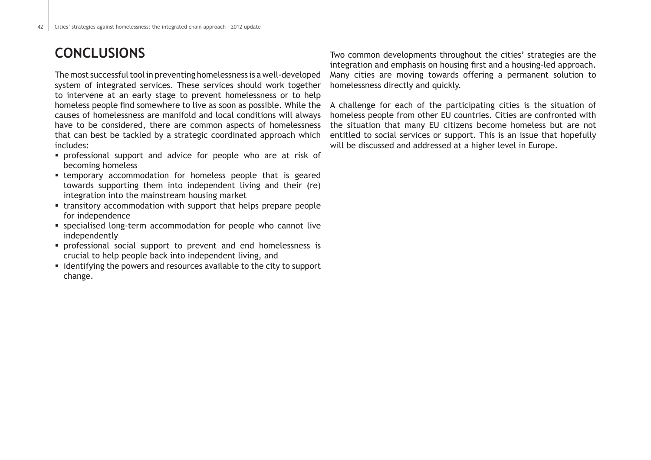# **CONCLUSIONS**

The most successful tool in preventing homelessness is a well-developed system of integrated services. These services should work together to intervene at an early stage to prevent homelessness or to help homeless people find somewhere to live as soon as possible. While the causes of homelessness are manifold and local conditions will always have to be considered, there are common aspects of homelessness that can best be tackled by a strategic coordinated approach which includes:

- professional support and advice for people who are at risk of becoming homeless
- temporary accommodation for homeless people that is geared towards supporting them into independent living and their (re) integration into the mainstream housing market
- transitory accommodation with support that helps prepare people for independence
- specialised long-term accommodation for people who cannot live independently
- professional social support to prevent and end homelessness is crucial to help people back into independent living, and
- identifying the powers and resources available to the city to support change.

Two common developments throughout the cities' strategies are the integration and emphasis on housing first and a housing-led approach. Many cities are moving towards offering a permanent solution to homelessness directly and quickly.

A challenge for each of the participating cities is the situation of homeless people from other EU countries. Cities are confronted with the situation that many EU citizens become homeless but are not entitled to social services or support. This is an issue that hopefully will be discussed and addressed at a higher level in Europe.